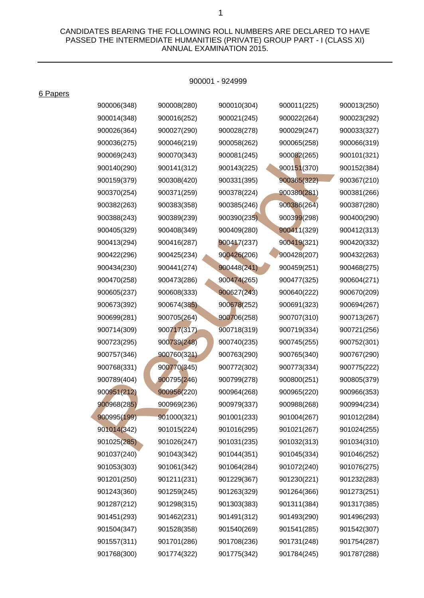CANDIDATES BEARING THE FOLLOWING ROLL NUMBERS ARE DECLARED TO HAVE PASSED THE INTERMEDIATE HUMANITIES (PRIVATE) GROUP PART - I (CLASS XI) ANNUAL EXAMINATION 2015.

## 900001 - 924999

6 Papers

| 900006(348) | 900008(280) | 900010(304) | 900011(225) | 900013(250) |
|-------------|-------------|-------------|-------------|-------------|
| 900014(348) | 900016(252) | 900021(245) | 900022(264) | 900023(292) |
| 900026(364) | 900027(290) | 900028(278) | 900029(247) | 900033(327) |
| 900036(275) | 900046(219) | 900058(262) | 900065(258) | 900066(319) |
| 900069(243) | 900070(343) | 900081(245) | 900082(265) | 900101(321) |
| 900140(290) | 900141(312) | 900143(225) | 900151(370) | 900152(384) |
| 900159(379) | 900308(420) | 900331(395) | 900365(322) | 900367(210) |
| 900370(254) | 900371(259) | 900378(224) | 900380(281) | 900381(266) |
| 900382(263) | 900383(358) | 900385(246) | 900386(264) | 900387(280) |
| 900388(243) | 900389(239) | 900390(235) | 900399(298) | 900400(290) |
| 900405(329) | 900408(349) | 900409(280) | 900411(329) | 900412(313) |
| 900413(294) | 900416(287) | 900417(237) | 900419(321) | 900420(332) |
| 900422(296) | 900425(234) | 900426(206) | 900428(207) | 900432(263) |
| 900434(230) | 900441(274) | 900448(241) | 900459(251) | 900468(275) |
| 900470(258) | 900473(286) | 900474(265) | 900477(325) | 900604(271) |
| 900605(237) | 900608(333) | 900627(243) | 900640(222) | 900670(209) |
| 900673(392) | 900674(385) | 900678(252) | 900691(323) | 900694(267) |
| 900699(281) | 900705(264) | 900706(258) | 900707(310) | 900713(267) |
| 900714(309) | 900717(317) | 900718(319) | 900719(334) | 900721(256) |
| 900723(295) | 900739(248) | 900740(235) | 900745(255) | 900752(301) |
| 900757(346) | 900760(321) | 900763(290) | 900765(340) | 900767(290) |
| 900768(331) | 900770(345) | 900772(302) | 900773(334) | 900775(222) |
| 900789(404) | 900795(246) | 900799(278) | 900800(251) | 900805(379) |
| 900951(212) | 900956(220) | 900964(268) | 900965(220) | 900966(353) |
| 900968(285) | 900969(236) | 900979(337) | 900988(268) | 900994(234) |
| 900995(199) | 901000(321) | 901001(233) | 901004(267) | 901012(284) |
| 901014(342) | 901015(224) | 901016(295) | 901021(267) | 901024(255) |
| 901025(285) | 901026(247) | 901031(235) | 901032(313) | 901034(310) |
| 901037(240) | 901043(342) | 901044(351) | 901045(334) | 901046(252) |
| 901053(303) | 901061(342) | 901064(284) | 901072(240) | 901076(275) |
| 901201(250) | 901211(231) | 901229(367) | 901230(221) | 901232(283) |
| 901243(360) | 901259(245) | 901263(329) | 901264(366) | 901273(251) |
| 901287(212) | 901298(315) | 901303(383) | 901311(384) | 901317(385) |
| 901451(293) | 901462(231) | 901491(312) | 901493(290) | 901496(293) |
| 901504(347) | 901528(358) | 901540(269) | 901541(285) | 901542(307) |
| 901557(311) | 901701(286) | 901708(236) | 901731(248) | 901754(287) |
| 901768(300) | 901774(322) | 901775(342) | 901784(245) | 901787(288) |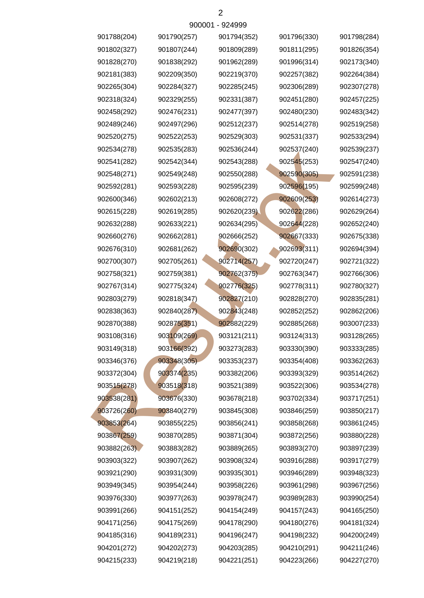| 901788(204) | 901790(257) | 901794(352) | 901796(330) | 901798(284) |
|-------------|-------------|-------------|-------------|-------------|
| 901802(327) | 901807(244) | 901809(289) | 901811(295) | 901826(354) |
| 901828(270) | 901838(292) | 901962(289) | 901996(314) | 902173(340) |
| 902181(383) | 902209(350) | 902219(370) | 902257(382) | 902264(384) |
| 902265(304) | 902284(327) | 902285(245) | 902306(289) | 902307(278) |
| 902318(324) | 902329(255) | 902331(387) | 902451(280) | 902457(225) |
| 902458(292) | 902476(231) | 902477(397) | 902480(230) | 902483(342) |
| 902489(246) | 902497(296) | 902512(237) | 902514(278) | 902519(258) |
| 902520(275) | 902522(253) | 902529(303) | 902531(337) | 902533(294) |
| 902534(278) | 902535(283) | 902536(244) | 902537(240) | 902539(237) |
| 902541(282) | 902542(344) | 902543(288) | 902545(253) | 902547(240) |
| 902548(271) | 902549(248) | 902550(288) | 902590(305) | 902591(238) |
| 902592(281) | 902593(228) | 902595(239) | 902596(195) | 902599(248) |
| 902600(346) | 902602(213) | 902608(272) | 902609(253) | 902614(273) |
| 902615(228) | 902619(285) | 902620(239) | 902622(286) | 902629(264) |
| 902632(288) | 902633(221) | 902634(295) | 902644(228) | 902652(240) |
| 902660(276) | 902662(281) | 902666(252) | 902667(333) | 902675(338) |
| 902676(310) | 902681(262) | 902690(302) | 902693(311) | 902694(394) |
| 902700(307) | 902705(261) | 902714(257) | 902720(247) | 902721(322) |
| 902758(321) | 902759(381) | 902762(375) | 902763(347) | 902766(306) |
| 902767(314) | 902775(324) | 902776(325) | 902778(311) | 902780(327) |
| 902803(279) | 902818(347) | 902827(210) | 902828(270) | 902835(281) |
| 902838(363) | 902840(287) | 902843(248) | 902852(252) | 902862(206) |
| 902870(388) | 902875(351) | 902882(229) | 902885(268) | 903007(233) |
| 903108(316) | 903109(269) | 903121(211) | 903124(313) | 903128(265) |
| 903149(318) | 903166(392) | 903273(283) | 903330(390) | 903333(285) |
| 903346(376) | 903348(305) | 903353(237) | 903354(408) | 903362(263) |
| 903372(304) | 903374(235) | 903382(206) | 903393(329) | 903514(262) |
| 903515(278) | 903518(318) | 903521(389) | 903522(306) | 903534(278) |
| 903538(281) | 903676(330) | 903678(218) | 903702(334) | 903717(251) |
| 903726(260) | 903840(279) | 903845(308) | 903846(259) | 903850(217) |
| 903853(264) | 903855(225) | 903856(241) | 903858(268) | 903861(245) |
| 903867(259) | 903870(285) | 903871(304) | 903872(256) | 903880(228) |
| 903882(263) | 903883(282) | 903889(265) | 903893(270) | 903897(239) |
| 903903(322) | 903907(262) | 903908(324) | 903916(288) | 903917(279) |
| 903921(290) | 903931(309) | 903935(301) | 903946(289) | 903948(323) |
| 903949(345) | 903954(244) | 903958(226) | 903961(298) | 903967(256) |
| 903976(330) | 903977(263) | 903978(247) | 903989(283) | 903990(254) |
| 903991(266) | 904151(252) | 904154(249) | 904157(243) | 904165(250) |
| 904171(256) | 904175(269) | 904178(290) | 904180(276) | 904181(324) |
| 904185(316) | 904189(231) | 904196(247) | 904198(232) | 904200(249) |
| 904201(272) | 904202(273) | 904203(285) | 904210(291) | 904211(246) |
| 904215(233) | 904219(218) | 904221(251) | 904223(266) | 904227(270) |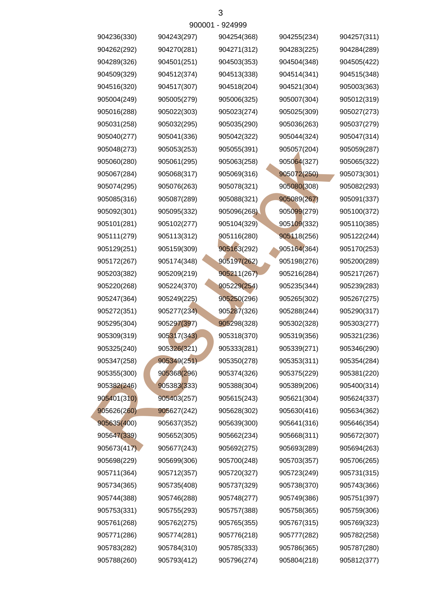| 904236(330) | 904243(297) | 904254(368) | 904255(234) | 904257(311) |
|-------------|-------------|-------------|-------------|-------------|
| 904262(292) | 904270(281) | 904271(312) | 904283(225) | 904284(289) |
| 904289(326) | 904501(251) | 904503(353) | 904504(348) | 904505(422) |
| 904509(329) | 904512(374) | 904513(338) | 904514(341) | 904515(348) |
| 904516(320) | 904517(307) | 904518(204) | 904521(304) | 905003(363) |
| 905004(249) | 905005(279) | 905006(325) | 905007(304) | 905012(319) |
| 905016(288) | 905022(303) | 905023(274) | 905025(309) | 905027(273) |
| 905031(258) | 905032(295) | 905035(290) | 905036(263) | 905037(279) |
| 905040(277) | 905041(336) | 905042(322) | 905044(324) | 905047(314) |
| 905048(273) | 905053(253) | 905055(391) | 905057(204) | 905059(287) |
| 905060(280) | 905061(295) | 905063(258) | 905064(327) | 905065(322) |
| 905067(284) | 905068(317) | 905069(316) | 905072(250) | 905073(301) |
| 905074(295) | 905076(263) | 905078(321) | 905080(308) | 905082(293) |
| 905085(316) | 905087(289) | 905088(321) | 905089(267) | 905091(337) |
| 905092(301) | 905095(332) | 905096(268) | 905099(279) | 905100(372) |
| 905101(281) | 905102(277) | 905104(329) | 905109(332) | 905110(385) |
| 905111(279) | 905113(312) | 905116(280) | 905118(256) | 905122(244) |
| 905129(251) | 905159(309) | 905163(292) | 905164(364) | 905170(253) |
| 905172(267) | 905174(348) | 905197(262) | 905198(276) | 905200(289) |
| 905203(382) | 905209(219) | 905211(267) | 905216(284) | 905217(267) |
| 905220(268) | 905224(370) | 905229(254) | 905235(344) | 905239(283) |
| 905247(364) | 905249(225) | 905250(296) | 905265(302) | 905267(275) |
| 905272(351) | 905277(234) | 905287(326) | 905288(244) | 905290(317) |
| 905295(304) | 905297(397) | 905298(328) | 905302(328) | 905303(277) |
| 905309(319) | 905317(343) | 905318(370) | 905319(356) | 905321(236) |
| 905325(240) | 905326(321) | 905333(281) | 905339(271) | 905346(290) |
| 905347(258) | 905349(251) | 905350(278) | 905353(311) | 905354(284) |
| 905355(300) | 905368(296) | 905374(326) | 905375(229) | 905381(220) |
| 905382(246) | 905383(333) | 905388(304) | 905389(206) | 905400(314) |
| 905401(310) | 905403(257) | 905615(243) | 905621(304) | 905624(337) |
| 905626(260) | 905627(242) | 905628(302) | 905630(416) | 905634(362) |
| 905635(400) | 905637(352) | 905639(300) | 905641(316) | 905646(354) |
| 905647(339) | 905652(305) | 905662(234) | 905668(311) | 905672(307) |
| 905673(417) | 905677(243) | 905692(275) | 905693(289) | 905694(263) |
| 905698(229) | 905699(306) | 905700(248) | 905703(357) | 905706(265) |
| 905711(364) | 905712(357) | 905720(327) | 905723(249) | 905731(315) |
| 905734(365) | 905735(408) | 905737(329) | 905738(370) | 905743(366) |
| 905744(388) | 905746(288) | 905748(277) | 905749(386) | 905751(397) |
| 905753(331) | 905755(293) | 905757(388) | 905758(365) | 905759(306) |
| 905761(268) | 905762(275) | 905765(355) | 905767(315) | 905769(323) |
| 905771(286) | 905774(281) | 905776(218) | 905777(282) | 905782(258) |
| 905783(282) | 905784(310) | 905785(333) | 905786(365) | 905787(280) |
| 905788(260) | 905793(412) | 905796(274) | 905804(218) | 905812(377) |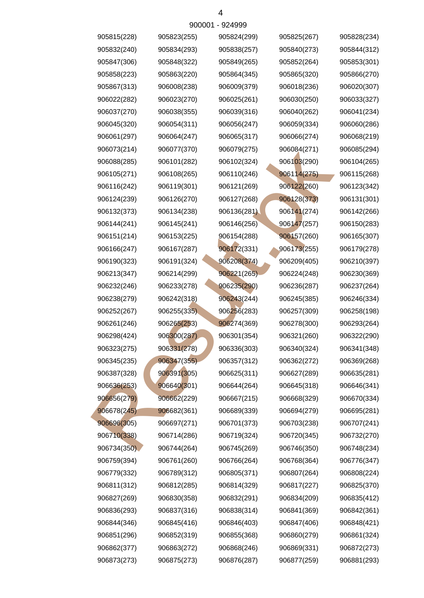| 905815(228) | 905823(255) | 905824(299) | 905825(267) | 905828(234) |
|-------------|-------------|-------------|-------------|-------------|
| 905832(240) | 905834(293) | 905838(257) | 905840(273) | 905844(312) |
| 905847(306) | 905848(322) | 905849(265) | 905852(264) | 905853(301) |
| 905858(223) | 905863(220) | 905864(345) | 905865(320) | 905866(270) |
| 905867(313) | 906008(238) | 906009(379) | 906018(236) | 906020(307) |
| 906022(282) | 906023(270) | 906025(261) | 906030(250) | 906033(327) |
| 906037(270) | 906038(355) | 906039(316) | 906040(262) | 906041(234) |
| 906045(320) | 906054(311) | 906056(247) | 906059(334) | 906060(286) |
| 906061(297) | 906064(247) | 906065(317) | 906066(274) | 906068(219) |
| 906073(214) | 906077(370) | 906079(275) | 906084(271) | 906085(294) |
| 906088(285) | 906101(282) | 906102(324) | 906103(290) | 906104(265) |
| 906105(271) | 906108(265) | 906110(246) | 906114(275) | 906115(268) |
| 906116(242) | 906119(301) | 906121(269) | 906122(260) | 906123(342) |
| 906124(239) | 906126(270) | 906127(268) | 906128(373) | 906131(301) |
| 906132(373) | 906134(238) | 906136(281) | 906141(274) | 906142(266) |
| 906144(241) | 906145(241) | 906146(256) | 906147(257) | 906150(283) |
| 906151(214) | 906153(225) | 906154(288) | 906157(260) | 906165(307) |
| 906166(247) | 906167(287) | 906172(331) | 906173(255) | 906179(278) |
| 906190(323) | 906191(324) | 906208(374) | 906209(405) | 906210(397) |
| 906213(347) | 906214(299) | 906221(265) | 906224(248) | 906230(369) |
| 906232(246) | 906233(278) | 906235(290) | 906236(287) | 906237(264) |
| 906238(279) | 906242(318) | 906243(244) | 906245(385) | 906246(334) |
| 906252(267) | 906255(335) | 906256(283) | 906257(309) | 906258(198) |
| 906261(246) | 906265(253) | 906274(369) | 906278(300) | 906293(264) |
| 906298(424) | 906300(287) | 906301(354) | 906321(260) | 906322(290) |
| 906323(275) | 906331(278) | 906336(303) | 906340(324) | 906341(348) |
| 906345(235) | 906347(355) | 906357(312) | 906362(272) | 906369(268) |
| 906387(328) | 906391(305) | 906625(311) | 906627(289) | 906635(281) |
| 906636(253) | 906640(301) | 906644(264) | 906645(318) | 906646(341) |
| 906656(279) | 906662(229) | 906667(215) | 906668(329) | 906670(334) |
| 906678(245) | 906682(361) | 906689(339) | 906694(279) | 906695(281) |
| 906696(305) | 906697(271) | 906701(373) | 906703(238) | 906707(241) |
| 906710(338) | 906714(286) | 906719(324) | 906720(345) | 906732(270) |
| 906734(350) | 906744(264) | 906745(269) | 906746(350) | 906748(234) |
| 906759(394) | 906761(260) | 906766(264) | 906768(364) | 906776(347) |
| 906779(332) | 906789(312) | 906805(371) | 906807(264) | 906808(224) |
| 906811(312) | 906812(285) | 906814(329) | 906817(227) | 906825(370) |
| 906827(269) | 906830(358) | 906832(291) | 906834(209) | 906835(412) |
| 906836(293) | 906837(316) | 906838(314) | 906841(369) | 906842(361) |
| 906844(346) | 906845(416) | 906846(403) | 906847(406) | 906848(421) |
| 906851(296) | 906852(319) | 906855(368) | 906860(279) | 906861(324) |
| 906862(377) | 906863(272) | 906868(246) | 906869(331) | 906872(273) |
| 906873(273) | 906875(273) | 906876(287) | 906877(259) | 906881(293) |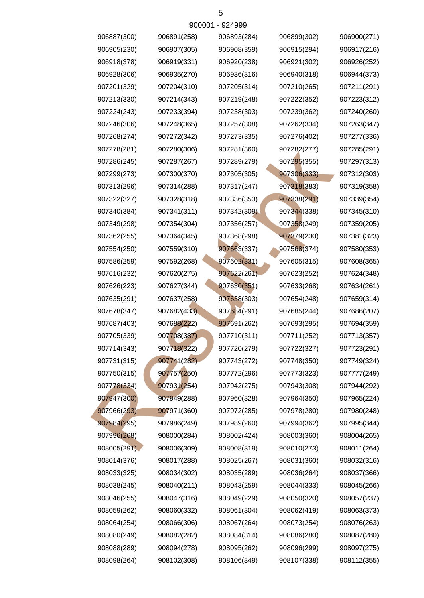| 906887(300) | 906891(258) | 906893(284) | 906899(302) | 906900(271) |
|-------------|-------------|-------------|-------------|-------------|
| 906905(230) | 906907(305) | 906908(359) | 906915(294) | 906917(216) |
| 906918(378) | 906919(331) | 906920(238) | 906921(302) | 906926(252) |
| 906928(306) | 906935(270) | 906936(316) | 906940(318) | 906944(373) |
| 907201(329) | 907204(310) | 907205(314) | 907210(265) | 907211(291) |
| 907213(330) | 907214(343) | 907219(248) | 907222(352) | 907223(312) |
| 907224(243) | 907233(394) | 907238(303) | 907239(362) | 907240(260) |
| 907246(306) | 907248(365) | 907257(308) | 907262(334) | 907263(347) |
| 907268(274) | 907272(342) | 907273(335) | 907276(402) | 907277(336) |
| 907278(281) | 907280(306) | 907281(360) | 907282(277) | 907285(291) |
| 907286(245) | 907287(267) | 907289(279) | 907295(355) | 907297(313) |
| 907299(273) | 907300(370) | 907305(305) | 907306(333) | 907312(303) |
| 907313(296) | 907314(288) | 907317(247) | 907318(383) | 907319(358) |
| 907322(327) | 907328(318) | 907336(353) | 907338(291) | 907339(354) |
| 907340(384) | 907341(311) | 907342(309) | 907344(338) | 907345(310) |
| 907349(298) | 907354(304) | 907356(257) | 907358(249) | 907359(205) |
| 907362(255) | 907364(345) | 907368(298) | 907379(230) | 907381(323) |
| 907554(250) | 907559(310) | 907563(337) | 907568(374) | 907580(353) |
| 907586(259) | 907592(268) | 907602(331) | 907605(315) | 907608(365) |
| 907616(232) | 907620(275) | 907622(261) | 907623(252) | 907624(348) |
| 907626(223) | 907627(344) | 907630(351) | 907633(268) | 907634(261) |
| 907635(291) | 907637(258) | 907638(303) | 907654(248) | 907659(314) |
| 907678(347) | 907682(433) | 907684(291) | 907685(244) | 907686(207) |
| 907687(403) | 907688(222) | 907691(262) | 907693(295) | 907694(359) |
| 907705(339) | 907708(387) | 907710(311) | 907711(252) | 907713(357) |
| 907714(343) | 907718(322) | 907720(279) | 907722(327) | 907723(291) |
| 907731(315) | 907741(282) | 907743(272) | 907748(350) | 907749(324) |
| 907750(315) | 907757(250) | 907772(296) | 907773(323) | 907777(249) |
| 907778(334) | 907931(254) | 907942(275) | 907943(308) | 907944(292) |
| 907947(300) | 907949(288) | 907960(328) | 907964(350) | 907965(224) |
| 907966(293) | 907971(360) | 907972(285) | 907978(280) | 907980(248) |
| 907984(295) | 907986(249) | 907989(260) | 907994(362) | 907995(344) |
| 907996(268) | 908000(284) | 908002(424) | 908003(360) | 908004(265) |
| 908005(291) | 908006(309) | 908008(319) | 908010(273) | 908011(264) |
| 908014(376) | 908017(288) | 908025(267) | 908031(360) | 908032(316) |
| 908033(325) | 908034(302) | 908035(289) | 908036(264) | 908037(366) |
| 908038(245) | 908040(211) | 908043(259) | 908044(333) | 908045(266) |
| 908046(255) | 908047(316) | 908049(229) | 908050(320) | 908057(237) |
| 908059(262) | 908060(332) | 908061(304) | 908062(419) | 908063(373) |
| 908064(254) | 908066(306) | 908067(264) | 908073(254) | 908076(263) |
| 908080(249) | 908082(282) | 908084(314) | 908086(280) | 908087(280) |
| 908088(289) | 908094(278) | 908095(262) | 908096(299) | 908097(275) |
| 908098(264) | 908102(308) | 908106(349) | 908107(338) | 908112(355) |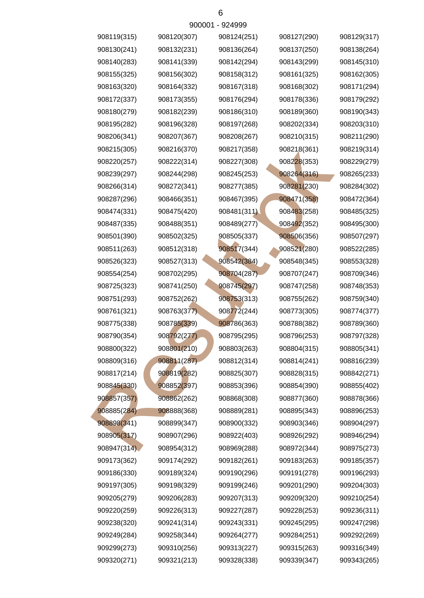| 908119(315) | 908120(307) | 908124(251) | 908127(290) | 908129(317) |
|-------------|-------------|-------------|-------------|-------------|
| 908130(241) | 908132(231) | 908136(264) | 908137(250) | 908138(264) |
| 908140(283) | 908141(339) | 908142(294) | 908143(299) | 908145(310) |
| 908155(325) | 908156(302) | 908158(312) | 908161(325) | 908162(305) |
| 908163(320) | 908164(332) | 908167(318) | 908168(302) | 908171(294) |
| 908172(337) | 908173(355) | 908176(294) | 908178(336) | 908179(292) |
| 908180(279) | 908182(239) | 908186(310) | 908189(360) | 908190(343) |
| 908195(282) | 908196(328) | 908197(268) | 908202(334) | 908203(310) |
| 908206(341) | 908207(367) | 908208(267) | 908210(315) | 908211(290) |
| 908215(305) | 908216(370) | 908217(358) | 908218(361) | 908219(314) |
| 908220(257) | 908222(314) | 908227(308) | 908228(353) | 908229(279) |
| 908239(297) | 908244(298) | 908245(253) | 908264(316) | 908265(233) |
| 908266(314) | 908272(341) | 908277(385) | 908281(230) | 908284(302) |
| 908287(296) | 908466(351) | 908467(395) | 908471(358) | 908472(364) |
| 908474(331) | 908475(420) | 908481(311) | 908483(258) | 908485(325) |
| 908487(335) | 908488(351) | 908489(277) | 908492(352) | 908495(300) |
| 908501(390) | 908502(325) | 908505(337) | 908506(356) | 908507(297) |
| 908511(263) | 908512(318) | 908517(344) | 908521(280) | 908522(285) |
| 908526(323) | 908527(313) | 908542(384) | 908548(345) | 908553(328) |
| 908554(254) | 908702(295) | 908704(287) | 908707(247) | 908709(346) |
| 908725(323) | 908741(250) | 908745(297) | 908747(258) | 908748(353) |
| 908751(293) | 908752(262) | 908753(313) | 908755(262) | 908759(340) |
| 908761(321) | 908763(377) | 908772(244) | 908773(305) | 908774(377) |
| 908775(338) | 908785(339) | 908786(363) | 908788(382) | 908789(360) |
| 908790(354) | 908792(277) | 908795(295) | 908796(253) | 908797(328) |
| 908800(322) | 908801(210) | 908803(263) | 908804(315) | 908805(341) |
| 908809(316) | 908811(287) | 908812(314) | 908814(241) | 908816(239) |
| 908817(214) | 908819(282) | 908825(307) | 908828(315) | 908842(271) |
| 908845(330) | 908852(397) | 908853(396) | 908854(390) | 908855(402) |
| 908857(357) | 908862(262) | 908868(308) | 908877(360) | 908878(366) |
| 908885(284) | 908888(368) | 908889(281) | 908895(343) | 908896(253) |
| 908898(341) | 908899(347) | 908900(332) | 908903(346) | 908904(297) |
| 908905(317) | 908907(296) | 908922(403) | 908926(292) | 908946(294) |
| 908947(314) | 908954(312) | 908969(288) | 908972(344) | 908975(273) |
| 909173(362) | 909174(292) | 909182(261) | 909183(263) | 909185(357) |
| 909186(330) | 909189(324) | 909190(296) | 909191(278) | 909196(293) |
| 909197(305) | 909198(329) | 909199(246) | 909201(290) | 909204(303) |
| 909205(279) | 909206(283) | 909207(313) | 909209(320) | 909210(254) |
| 909220(259) | 909226(313) | 909227(287) | 909228(253) | 909236(311) |
| 909238(320) | 909241(314) | 909243(331) | 909245(295) | 909247(298) |
| 909249(284) | 909258(344) | 909264(277) | 909284(251) | 909292(269) |
| 909299(273) | 909310(256) | 909313(227) | 909315(263) | 909316(349) |
| 909320(271) | 909321(213) | 909328(338) | 909339(347) | 909343(265) |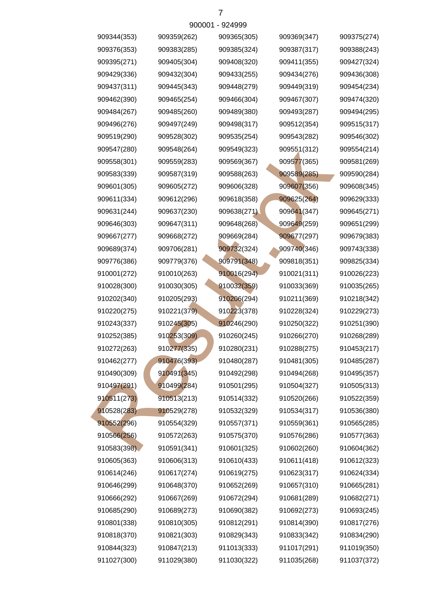| 909344(353) | 909359(262) | 909365(305) | 909369(347) | 909375(274) |
|-------------|-------------|-------------|-------------|-------------|
| 909376(353) | 909383(285) | 909385(324) | 909387(317) | 909388(243) |
| 909395(271) | 909405(304) | 909408(320) | 909411(355) | 909427(324) |
| 909429(336) | 909432(304) | 909433(255) | 909434(276) | 909436(308) |
| 909437(311) | 909445(343) | 909448(279) | 909449(319) | 909454(234) |
| 909462(390) | 909465(254) | 909466(304) | 909467(307) | 909474(320) |
| 909484(267) | 909485(260) | 909489(380) | 909493(287) | 909494(295) |
| 909496(276) | 909497(249) | 909498(317) | 909512(354) | 909515(317) |
| 909519(290) | 909528(302) | 909535(254) | 909543(282) | 909546(302) |
| 909547(280) | 909548(264) | 909549(323) | 909551(312) | 909554(214) |
| 909558(301) | 909559(283) | 909569(367) | 909577(365) | 909581(269) |
| 909583(339) | 909587(319) | 909588(263) | 909589(285) | 909590(284) |
| 909601(305) | 909605(272) | 909606(328) | 909607(356) | 909608(345) |
| 909611(334) | 909612(296) | 909618(358) | 909625(264) | 909629(333) |
| 909631(244) | 909637(230) | 909638(271) | 909641(347) | 909645(271) |
| 909646(303) | 909647(311) | 909648(268) | 909649(259) | 909651(299) |
| 909667(277) | 909668(272) | 909669(284) | 909677(297) | 909679(383) |
| 909689(374) | 909706(281) | 909732(324) | 909740(346) | 909743(338) |
| 909776(386) | 909779(376) | 909791(348) | 909818(351) | 909825(334) |
| 910001(272) | 910010(263) | 910016(294) | 910021(311) | 910026(223) |
| 910028(300) | 910030(305) | 910032(359) | 910033(369) | 910035(265) |
| 910202(340) | 910205(293) | 910206(294) | 910211(369) | 910218(342) |
| 910220(275) | 910221(379) | 910223(378) | 910228(324) | 910229(273) |
| 910243(337) | 910245(305) | 910246(290) | 910250(322) | 910251(390) |
| 910252(385) | 910253(309) | 910260(245) | 910266(270) | 910268(289) |
| 910272(263) | 910277(335) | 910280(231) | 910288(275) | 910453(217) |
| 910462(277) | 910476(393) | 910480(287) | 910481(305) | 910485(287) |
| 910490(309) | 910491(345) | 910492(298) | 910494(268) | 910495(357) |
| 910497(291) | 910499(284) | 910501(295) | 910504(327) | 910505(313) |
| 910511(273) | 910513(213) | 910514(332) | 910520(266) | 910522(359) |
| 910528(283) | 910529(278) | 910532(329) | 910534(317) | 910536(380) |
| 910552(296) | 910554(329) | 910557(371) | 910559(361) | 910565(285) |
| 910566(256) | 910572(263) | 910575(370) | 910576(286) | 910577(363) |
| 910583(398) | 910591(341) | 910601(325) | 910602(260) | 910604(362) |
| 910605(363) | 910606(313) | 910610(433) | 910611(418) | 910612(323) |
| 910614(246) | 910617(274) | 910619(275) | 910623(317) | 910624(334) |
| 910646(299) | 910648(370) | 910652(269) | 910657(310) | 910665(281) |
| 910666(292) | 910667(269) | 910672(294) | 910681(289) | 910682(271) |
| 910685(290) | 910689(273) | 910690(382) | 910692(273) | 910693(245) |
| 910801(338) | 910810(305) | 910812(291) | 910814(390) | 910817(276) |
| 910818(370) | 910821(303) | 910829(343) | 910833(342) | 910834(290) |
| 910844(323) | 910847(213) | 911013(333) | 911017(291) | 911019(350) |
| 911027(300) | 911029(380) | 911030(322) | 911035(268) | 911037(372) |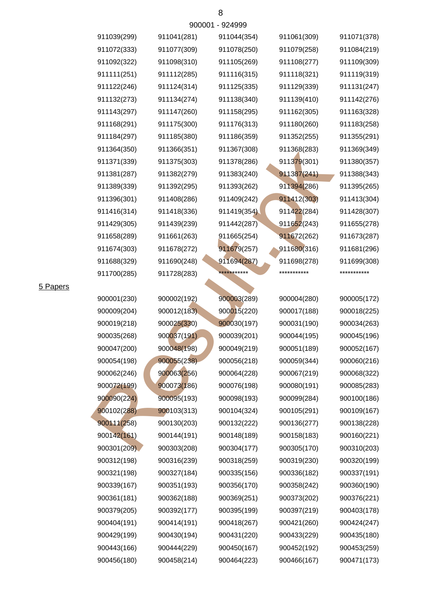|             |             | ANNNI - AT <del>U</del> AAA |             |             |
|-------------|-------------|-----------------------------|-------------|-------------|
| 911039(299) | 911041(281) | 911044(354)                 | 911061(309) | 911071(378) |
| 911072(333) | 911077(309) | 911078(250)                 | 911079(258) | 911084(219) |
| 911092(322) | 911098(310) | 911105(269)                 | 911108(277) | 911109(309) |
| 911111(251) | 911112(285) | 911116(315)                 | 911118(321) | 911119(319) |
| 911122(246) | 911124(314) | 911125(335)                 | 911129(339) | 911131(247) |
| 911132(273) | 911134(274) | 911138(340)                 | 911139(410) | 911142(276) |
| 911143(297) | 911147(260) | 911158(295)                 | 911162(305) | 911163(328) |
| 911168(291) | 911175(300) | 911176(313)                 | 911180(260) | 911183(258) |
| 911184(297) | 911185(380) | 911186(359)                 | 911352(255) | 911355(291) |
| 911364(350) | 911366(351) | 911367(308)                 | 911368(283) | 911369(349) |
| 911371(339) | 911375(303) | 911378(286)                 | 911379(301) | 911380(357) |
| 911381(287) | 911382(279) | 911383(240)                 | 911387(241) | 911388(343) |
| 911389(339) | 911392(295) | 911393(262)                 | 911394(286) | 911395(265) |
| 911396(301) | 911408(286) | 911409(242)                 | 911412(303) | 911413(304) |
| 911416(314) | 911418(336) | 911419(354)                 | 911422(284) | 911428(307) |
| 911429(305) | 911439(239) | 911442(287)                 | 911652(243) | 911655(278) |
| 911658(289) | 911661(263) | 911665(254)                 | 911672(262) | 911673(287) |
| 911674(303) | 911678(272) | 911679(257)                 | 911680(316) | 911681(296) |
| 911688(329) | 911690(248) | 911694(287)                 | 911698(278) | 911699(308) |
| 911700(285) | 911728(283) | ***********                 | *********** | *********** |
|             |             |                             |             |             |
| 900001(230) | 900002(192) | 900003(289)                 | 900004(280) | 900005(172) |
| 900009(204) | 900012(183) | 900015(220)                 | 900017(188) | 900018(225) |
| 900019(218) | 900025(330) | 900030(197)                 | 900031(190) | 900034(263) |
| 900035(268) | 900037(191) | 900039(201)                 | 900044(195) | 900045(196) |
| 900047(200) | 900048(198) | 900049(219)                 | 900051(189) | 900052(167) |
| 900054(198) | 900055(238) | 900056(218)                 | 900059(344) | 900060(216) |
| 900062(246) | 900063(256) | 900064(228)                 | 900067(219) | 900068(322) |
| 900072(199) | 900073(186) | 900076(198)                 | 900080(191) | 900085(283) |
| 900090(224) | 900095(193) | 900098(193)                 | 900099(284) | 900100(186) |
| 900102(288) | 900103(313) | 900104(324)                 | 900105(291) | 900109(167) |
| 900111(258) | 900130(203) | 900132(222)                 | 900136(277) | 900138(228) |
| 900142(161) | 900144(191) | 900148(189)                 | 900158(183) | 900160(221) |
| 900301(209) | 900303(208) | 900304(177)                 | 900305(170) | 900310(203) |

5 Papers

900443(166) 900444(229) 900450(167) 900452(192) 900453(259) 900429(199) 900430(194) 900431(220) 900433(229) 900435(180)

900404(191) 900414(191) 900418(267) 900421(260) 900424(247)

900379(205) 900392(177) 900395(199) 900397(219) 900403(178) 900361(181) 900362(188) 900369(251) 900373(202) 900376(221)

900321(198) 900327(184) 900335(156) 900336(182) 900337(191) 900312(198) 900316(239) 900318(259) 900319(230) 900320(199)

900339(167) 900351(193) 900356(170) 900358(242) 900360(190)

900456(180) 900458(214) 900464(223) 900466(167) 900471(173)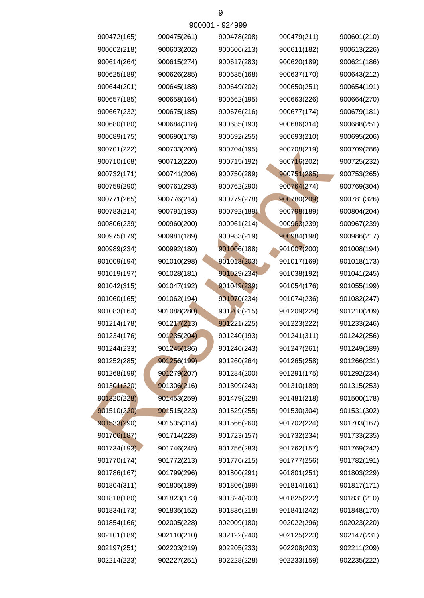| 900472(165) | 900475(261) | 900478(208) | 900479(211) | 900601(210) |
|-------------|-------------|-------------|-------------|-------------|
| 900602(218) | 900603(202) | 900606(213) | 900611(182) | 900613(226) |
| 900614(264) | 900615(274) | 900617(283) | 900620(189) | 900621(186) |
| 900625(189) | 900626(285) | 900635(168) | 900637(170) | 900643(212) |
| 900644(201) | 900645(188) | 900649(202) | 900650(251) | 900654(191) |
| 900657(185) | 900658(164) | 900662(195) | 900663(226) | 900664(270) |
| 900667(232) | 900675(185) | 900676(216) | 900677(174) | 900679(181) |
| 900680(180) | 900684(318) | 900685(193) | 900686(314) | 900688(251) |
| 900689(175) | 900690(178) | 900692(255) | 900693(210) | 900695(206) |
| 900701(222) | 900703(206) | 900704(195) | 900708(219) | 900709(286) |
| 900710(168) | 900712(220) | 900715(192) | 900716(202) | 900725(232) |
| 900732(171) | 900741(206) | 900750(289) | 900751(285) | 900753(265) |
| 900759(290) | 900761(293) | 900762(290) | 900764(274) | 900769(304) |
| 900771(265) | 900776(214) | 900779(278) | 900780(209) | 900781(326) |
| 900783(214) | 900791(193) | 900792(189) | 900798(189) | 900804(204) |
| 900806(239) | 900960(200) | 900961(214) | 900963(239) | 900967(239) |
| 900975(179) | 900981(189) | 900983(219) | 900984(198) | 900986(217) |
| 900989(234) | 900992(180) | 901006(188) | 901007(200) | 901008(194) |
| 901009(194) | 901010(298) | 901013(203) | 901017(169) | 901018(173) |
| 901019(197) | 901028(181) | 901029(234) | 901038(192) | 901041(245) |
| 901042(315) | 901047(192) | 901049(239) | 901054(176) | 901055(199) |
| 901060(165) | 901062(194) | 901070(234) | 901074(236) | 901082(247) |
| 901083(164) | 901088(280) | 901208(215) | 901209(229) | 901210(209) |
| 901214(178) | 901217(213) | 901221(225) | 901223(222) | 901233(246) |
| 901234(176) | 901235(204) | 901240(193) | 901241(311) | 901242(256) |
| 901244(233) | 901245(186) | 901246(243) | 901247(261) | 901249(189) |
| 901252(285) | 901256(199) | 901260(264) | 901265(258) | 901266(231) |
| 901268(199) | 901279(207) | 901284(200) | 901291(175) | 901292(234) |
| 901301(220) | 901306(216) | 901309(243) | 901310(189) | 901315(253) |
| 901320(228) | 901453(259) | 901479(228) | 901481(218) | 901500(178) |
| 901510(220) | 901515(223) | 901529(255) | 901530(304) | 901531(302) |
| 901533(290) | 901535(314) | 901566(260) | 901702(224) | 901703(167) |
| 901706(187) | 901714(228) | 901723(157) | 901732(234) | 901733(235) |
| 901734(193) | 901746(245) | 901756(283) | 901762(157) | 901769(242) |
| 901770(174) | 901772(213) | 901776(215) | 901777(256) | 901782(191) |
| 901786(167) | 901799(296) | 901800(291) | 901801(251) | 901803(229) |
| 901804(311) | 901805(189) | 901806(199) | 901814(161) | 901817(171) |
| 901818(180) | 901823(173) | 901824(203) | 901825(222) | 901831(210) |
| 901834(173) | 901835(152) | 901836(218) | 901841(242) | 901848(170) |
| 901854(166) | 902005(228) | 902009(180) | 902022(296) | 902023(220) |
| 902101(189) | 902110(210) | 902122(240) | 902125(223) | 902147(231) |
| 902197(251) | 902203(219) | 902205(233) | 902208(203) | 902211(209) |
| 902214(223) | 902227(251) | 902228(228) | 902233(159) | 902235(222) |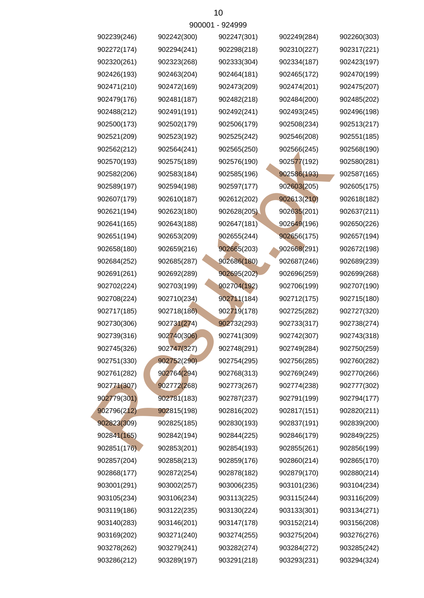| 902239(246) | 902242(300) | 902247(301) | 902249(284) | 902260(303) |
|-------------|-------------|-------------|-------------|-------------|
| 902272(174) | 902294(241) | 902298(218) | 902310(227) | 902317(221) |
| 902320(261) | 902323(268) | 902333(304) | 902334(187) | 902423(197) |
| 902426(193) | 902463(204) | 902464(181) | 902465(172) | 902470(199) |
| 902471(210) | 902472(169) | 902473(209) | 902474(201) | 902475(207) |
| 902479(176) | 902481(187) | 902482(218) | 902484(200) | 902485(202) |
| 902488(212) | 902491(191) | 902492(241) | 902493(245) | 902496(198) |
| 902500(173) | 902502(179) | 902506(179) | 902508(234) | 902513(217) |
| 902521(209) | 902523(192) | 902525(242) | 902546(208) | 902551(185) |
| 902562(212) | 902564(241) | 902565(250) | 902566(245) | 902568(190) |
| 902570(193) | 902575(189) | 902576(190) | 902577(192) | 902580(281) |
| 902582(206) | 902583(184) | 902585(196) | 902586(193) | 902587(165) |
| 902589(197) | 902594(198) | 902597(177) | 902603(205) | 902605(175) |
| 902607(179) | 902610(187) | 902612(202) | 902613(210) | 902618(182) |
| 902621(194) | 902623(180) | 902628(205) | 902635(201) | 902637(211) |
| 902641(165) | 902643(188) | 902647(181) | 902649(196) | 902650(226) |
| 902651(194) | 902653(209) | 902655(244) | 902656(175) | 902657(194) |
| 902658(180) | 902659(216) | 902665(203) | 902668(291) | 902672(198) |
| 902684(252) | 902685(287) | 902686(180) | 902687(246) | 902689(239) |
| 902691(261) | 902692(289) | 902695(202) | 902696(259) | 902699(268) |
| 902702(224) | 902703(199) | 902704(192) | 902706(199) | 902707(190) |
| 902708(224) | 902710(234) | 902711(184) | 902712(175) | 902715(180) |
| 902717(185) | 902718(186) | 902719(178) | 902725(282) | 902727(320) |
| 902730(306) | 902731(274) | 902732(293) | 902733(317) | 902738(274) |
| 902739(316) | 902740(306) | 902741(309) | 902742(307) | 902743(318) |
| 902745(326) | 902747(327) | 902748(291) | 902749(284) | 902750(259) |
| 902751(330) | 902752(290) | 902754(295) | 902756(285) | 902760(282) |
| 902761(282) | 902764(294) | 902768(313) | 902769(249) | 902770(266) |
| 902771(307) | 902772(268) | 902773(267) | 902774(238) | 902777(302) |
| 902779(301) | 902781(183) | 902787(237) | 902791(199) | 902794(177) |
| 902796(212) | 902815(198) | 902816(202) | 902817(151) | 902820(211) |
| 902823(309) | 902825(185) | 902830(193) | 902837(191) | 902839(200) |
| 902841(165) | 902842(194) | 902844(225) | 902846(179) | 902849(225) |
| 902851(176) | 902853(201) | 902854(193) | 902855(261) | 902856(199) |
| 902857(204) | 902858(213) | 902859(176) | 902860(214) | 902865(170) |
| 902868(177) | 902872(254) | 902878(182) | 902879(170) | 902880(214) |
| 903001(291) | 903002(257) | 903006(235) | 903101(236) | 903104(234) |
| 903105(234) | 903106(234) | 903113(225) | 903115(244) | 903116(209) |
| 903119(186) | 903122(235) | 903130(224) | 903133(301) | 903134(271) |
| 903140(283) | 903146(201) | 903147(178) | 903152(214) | 903156(208) |
| 903169(202) | 903271(240) | 903274(255) | 903275(204) | 903276(276) |
| 903278(262) | 903279(241) | 903282(274) | 903284(272) | 903285(242) |
| 903286(212) | 903289(197) | 903291(218) | 903293(231) | 903294(324) |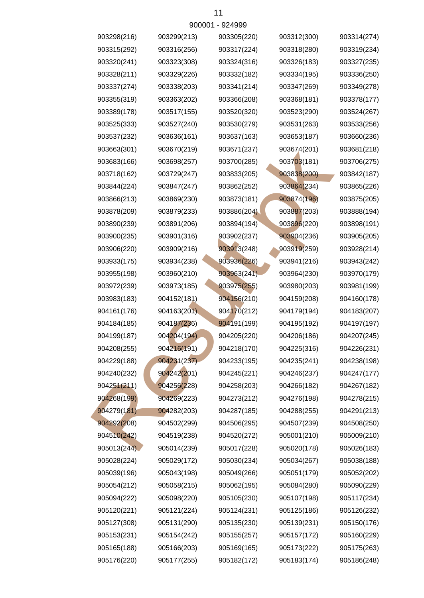|             | <u>JUUU 1</u> | ◡▃┭◡◡◡      |             |             |
|-------------|---------------|-------------|-------------|-------------|
| 903298(216) | 903299(213)   | 903305(220) | 903312(300) | 903314(274) |
| 903315(292) | 903316(256)   | 903317(224) | 903318(280) | 903319(234) |
| 903320(241) | 903323(308)   | 903324(316) | 903326(183) | 903327(235) |
| 903328(211) | 903329(226)   | 903332(182) | 903334(195) | 903336(250) |
| 903337(274) | 903338(203)   | 903341(214) | 903347(269) | 903349(278) |
| 903355(319) | 903363(202)   | 903366(208) | 903368(181) | 903378(177) |
| 903389(178) | 903517(155)   | 903520(320) | 903523(290) | 903524(267) |
| 903525(333) | 903527(240)   | 903530(279) | 903531(263) | 903533(256) |
| 903537(232) | 903636(161)   | 903637(163) | 903653(187) | 903660(236) |
| 903663(301) | 903670(219)   | 903671(237) | 903674(201) | 903681(218) |
| 903683(166) | 903698(257)   | 903700(285) | 903703(181) | 903706(275) |
| 903718(162) | 903729(247)   | 903833(205) | 903838(200) | 903842(187) |
| 903844(224) | 903847(247)   | 903862(252) | 903864(234) | 903865(226) |
| 903866(213) | 903869(230)   | 903873(181) | 903874(196) | 903875(205) |
| 903878(209) | 903879(233)   | 903886(204) | 903887(203) | 903888(194) |
| 903890(239) | 903891(206)   | 903894(194) | 903896(220) | 903898(191) |
| 903900(235) | 903901(316)   | 903902(237) | 903904(236) | 903905(205) |
| 903906(220) | 903909(216)   | 903913(248) | 903919(259) | 903928(214) |
| 903933(175) | 903934(238)   | 903936(226) | 903941(216) | 903943(242) |
| 903955(198) | 903960(210)   | 903963(241) | 903964(230) | 903970(179) |
| 903972(239) | 903973(185)   | 903975(255) | 903980(203) | 903981(199) |
| 903983(183) | 904152(181)   | 904156(210) | 904159(208) | 904160(178) |
| 904161(176) | 904163(201).  | 904170(212) | 904179(194) | 904183(207) |
| 904184(185) | 904187(236)   | 904191(199) | 904195(192) | 904197(197) |
| 904199(187) | 904204(194)   | 904205(220) | 904206(186) | 904207(245) |
| 904208(255) | 904216(191)   | 904218(170) | 904225(316) | 904226(231) |
| 904229(188) | 904231(237)   | 904233(195) | 904235(241) | 904238(198) |
| 904240(232) | 904242(201)   | 904245(221) | 904246(237) | 904247(177) |
| 904251(211) | 904256(228)   | 904258(203) | 904266(182) | 904267(182) |
| 904268(199) | 904269(223)   | 904273(212) | 904276(198) | 904278(215) |
| 904279(181) | 904282(203)   | 904287(185) | 904288(255) | 904291(213) |
| 904292(208) | 904502(299)   | 904506(295) | 904507(239) | 904508(250) |
| 904510(242) | 904519(238)   | 904520(272) | 905001(210) | 905009(210) |
| 905013(244) | 905014(239)   | 905017(228) | 905020(178) | 905026(183) |
| 905028(224) | 905029(172)   | 905030(234) | 905034(267) | 905038(188) |
| 905039(196) | 905043(198)   | 905049(266) | 905051(179) | 905052(202) |
| 905054(212) | 905058(215)   | 905062(195) | 905084(280) | 905090(229) |
| 905094(222) | 905098(220)   | 905105(230) | 905107(198) | 905117(234) |
| 905120(221) | 905121(224)   | 905124(231) | 905125(186) | 905126(232) |
| 905127(308) | 905131(290)   | 905135(230) | 905139(231) | 905150(176) |
| 905153(231) | 905154(242)   | 905155(257) | 905157(172) | 905160(229) |
| 905165(188) | 905166(203)   | 905169(165) | 905173(222) | 905175(263) |
| 905176(220) | 905177(255)   | 905182(172) | 905183(174) | 905186(248) |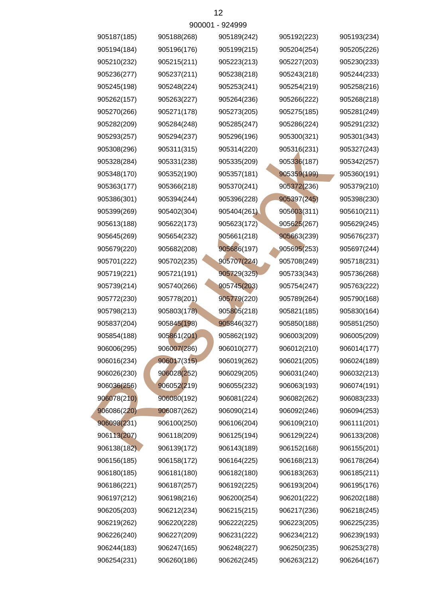|             | <u>JUUU 1</u> | ◡▃┭◡◡◡      |             |             |
|-------------|---------------|-------------|-------------|-------------|
| 905187(185) | 905188(268)   | 905189(242) | 905192(223) | 905193(234) |
| 905194(184) | 905196(176)   | 905199(215) | 905204(254) | 905205(226) |
| 905210(232) | 905215(211)   | 905223(213) | 905227(203) | 905230(233) |
| 905236(277) | 905237(211)   | 905238(218) | 905243(218) | 905244(233) |
| 905245(198) | 905248(224)   | 905253(241) | 905254(219) | 905258(216) |
| 905262(157) | 905263(227)   | 905264(236) | 905266(222) | 905268(218) |
| 905270(266) | 905271(178)   | 905273(205) | 905275(185) | 905281(249) |
| 905282(209) | 905284(248)   | 905285(247) | 905286(224) | 905291(232) |
| 905293(257) | 905294(237)   | 905296(196) | 905300(321) | 905301(343) |
| 905308(296) | 905311(315)   | 905314(220) | 905316(231) | 905327(243) |
| 905328(284) | 905331(238)   | 905335(209) | 905336(187) | 905342(257) |
| 905348(170) | 905352(190)   | 905357(181) | 905359(199) | 905360(191) |
| 905363(177) | 905366(218)   | 905370(241) | 905372(236) | 905379(210) |
| 905386(301) | 905394(244)   | 905396(228) | 905397(245) | 905398(230) |
| 905399(269) | 905402(304)   | 905404(261) | 905603(311) | 905610(211) |
| 905613(188) | 905622(173)   | 905623(172) | 905625(267) | 905629(245) |
| 905645(269) | 905654(232)   | 905661(218) | 905663(239) | 905676(237) |
| 905679(220) | 905682(208)   | 905686(197) | 905695(253) | 905697(244) |
| 905701(222) | 905702(235)   | 905707(224) | 905708(249) | 905718(231) |
| 905719(221) | 905721(191)   | 905729(325) | 905733(343) | 905736(268) |
| 905739(214) | 905740(266)   | 905745(203) | 905754(247) | 905763(222) |
| 905772(230) | 905778(201)   | 905779(220) | 905789(264) | 905790(168) |
| 905798(213) | 905803(178)   | 905805(218) | 905821(185) | 905830(164) |
| 905837(204) | 905845(198)   | 905846(327) | 905850(188) | 905851(250) |
| 905854(188) | 905861(201)   | 905862(192) | 906003(209) | 906005(209) |
| 906006(295) | 906007(286)   | 906010(277) | 906012(210) | 906014(177) |
| 906016(234) | 906017(315)   | 906019(262) | 906021(205) | 906024(189) |
| 906026(230) | 906028(252)   | 906029(205) | 906031(240) | 906032(213) |
| 906036(256) | 906052(219)   | 906055(232) | 906063(193) | 906074(191) |
| 906078(210) | 906080(192)   | 906081(224) | 906082(262) | 906083(233) |
| 906086(220) | 906087(262)   | 906090(214) | 906092(246) | 906094(253) |
| 906098(231) | 906100(250)   | 906106(204) | 906109(210) | 906111(201) |
| 906113(207) | 906118(209)   | 906125(194) | 906129(224) | 906133(208) |
| 906138(182) | 906139(172)   | 906143(189) | 906152(168) | 906155(201) |
| 906156(185) | 906158(172)   | 906164(225) | 906168(213) | 906178(264) |
| 906180(185) | 906181(180)   | 906182(180) | 906183(263) | 906185(211) |
| 906186(221) | 906187(257)   | 906192(225) | 906193(204) | 906195(176) |
| 906197(212) | 906198(216)   | 906200(254) | 906201(222) | 906202(188) |
| 906205(203) | 906212(234)   | 906215(215) | 906217(236) | 906218(245) |
| 906219(262) | 906220(228)   | 906222(225) | 906223(205) | 906225(235) |
| 906226(240) | 906227(209)   | 906231(222) | 906234(212) | 906239(193) |
| 906244(183) | 906247(165)   | 906248(227) | 906250(235) | 906253(278) |
| 906254(231) | 906260(186)   | 906262(245) | 906263(212) | 906264(167) |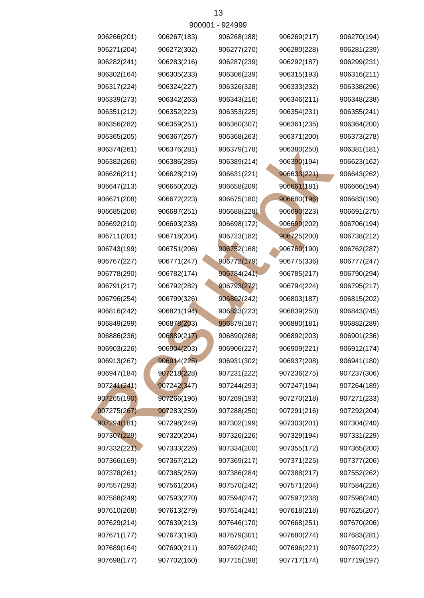| 906266(201) | 906267(183) | 906268(188) | 906269(217) | 906270(194) |
|-------------|-------------|-------------|-------------|-------------|
| 906271(204) | 906272(302) | 906277(270) | 906280(228) | 906281(239) |
| 906282(241) | 906283(216) | 906287(239) | 906292(187) | 906299(231) |
| 906302(164) | 906305(233) | 906306(239) | 906315(193) | 906316(211) |
| 906317(224) | 906324(227) | 906326(328) | 906333(232) | 906338(296) |
| 906339(273) | 906342(263) | 906343(216) | 906346(211) | 906348(238) |
| 906351(212) | 906352(223) | 906353(225) | 906354(231) | 906355(241) |
| 906356(282) | 906359(251) | 906360(307) | 906361(235) | 906364(200) |
| 906365(205) | 906367(267) | 906368(263) | 906371(200) | 906373(278) |
| 906374(261) | 906376(281) | 906379(178) | 906380(250) | 906381(181) |
| 906382(266) | 906386(285) | 906389(214) | 906390(194) | 906623(162) |
| 906626(211) | 906628(219) | 906631(221) | 906633(221) | 906643(262) |
| 906647(213) | 906650(202) | 906658(209) | 906661(181) | 906666(194) |
| 906671(208) | 906672(223) | 906675(180) | 906680(196) | 906683(190) |
| 906685(206) | 906687(251) | 906688(228) | 906690(223) | 906691(275) |
| 906692(210) | 906693(238) | 906698(172) | 906699(202) | 906706(194) |
| 906711(201) | 906718(204) | 906723(182) | 906725(200) | 906738(212) |
| 906743(199) | 906751(206) | 906752(168) | 906760(190) | 906762(287) |
| 906767(227) | 906771(247) | 906772(179) | 906775(336) | 906777(247) |
| 906778(290) | 906782(174) | 906784(241) | 906785(217) | 906790(294) |
| 906791(217) | 906792(282) | 906793(272) | 906794(224) | 906795(217) |
| 906796(254) | 906799(326) | 906802(242) | 906803(187) | 906815(202) |
| 906816(242) | 906821(194) | 906833(223) | 906839(250) | 906843(245) |
| 906849(299) | 906878(203) | 906879(187) | 906880(181) | 906882(289) |
| 906886(236) | 906889(217) | 906890(268) | 906892(203) | 906901(236) |
| 906903(226) | 906904(203) | 906906(227) | 906909(221) | 906912(174) |
| 906913(267) | 906914(225) | 906931(302) | 906937(208) | 906941(180) |
| 906947(184) | 907218(228) | 907231(222) | 907236(275) | 907237(306) |
| 907241(241) | 907242(347) | 907244(293) | 907247(194) | 907264(189) |
| 907265(190) | 907266(196) | 907269(193) | 907270(218) | 907271(233) |
| 907275(267) | 907283(259) | 907288(250) | 907291(216) | 907292(204) |
| 907294(181) | 907298(249) | 907302(199) | 907303(201) | 907304(240) |
| 907307(229) | 907320(204) | 907326(226) | 907329(194) | 907331(229) |
| 907332(221) | 907333(226) | 907334(200) | 907355(172) | 907365(200) |
| 907366(169) | 907367(212) | 907369(217) | 907371(225) | 907377(206) |
| 907378(261) | 907385(259) | 907386(284) | 907388(217) | 907552(262) |
| 907557(293) | 907561(204) | 907570(242) | 907571(204) | 907584(226) |
| 907588(249) | 907593(270) | 907594(247) | 907597(238) | 907598(240) |
| 907610(268) | 907613(279) | 907614(241) | 907618(218) | 907625(207) |
| 907629(214) | 907639(213) | 907646(170) | 907668(251) | 907670(206) |
| 907671(177) | 907673(193) | 907679(301) | 907680(274) | 907683(281) |
| 907689(164) | 907690(211) | 907692(240) | 907696(221) | 907697(222) |
| 907698(177) | 907702(160) | 907715(198) | 907717(174) | 907719(197) |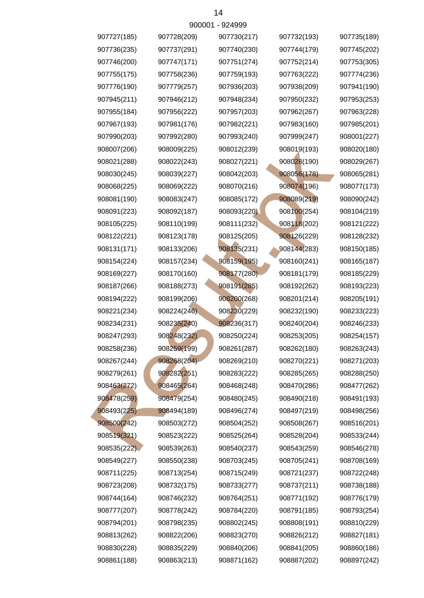|             |             | <u> วบบบบ i - ว∠ฯววว</u> |             |             |
|-------------|-------------|--------------------------|-------------|-------------|
| 907727(185) | 907728(209) | 907730(217)              | 907732(193) | 907735(189) |
| 907736(235) | 907737(291) | 907740(230)              | 907744(179) | 907745(202) |
| 907746(200) | 907747(171) | 907751(274)              | 907752(214) | 907753(305) |
| 907755(175) | 907758(236) | 907759(193)              | 907763(222) | 907774(236) |
| 907776(190) | 907779(257) | 907936(203)              | 907938(209) | 907941(190) |
| 907945(211) | 907946(212) | 907948(234)              | 907950(232) | 907953(253) |
| 907955(184) | 907956(222) | 907957(203)              | 907962(267) | 907963(228) |
| 907967(193) | 907981(176) | 907982(221)              | 907983(160) | 907985(201) |
| 907990(203) | 907992(280) | 907993(240)              | 907999(247) | 908001(227) |
| 908007(206) | 908009(225) | 908012(239)              | 908019(193) | 908020(180) |
| 908021(288) | 908022(243) | 908027(221)              | 908028(190) | 908029(267) |
| 908030(245) | 908039(227) | 908042(203)              | 908056(178) | 908065(281) |
| 908068(225) | 908069(222) | 908070(216)              | 908074(196) | 908077(173) |
| 908081(190) | 908083(247) | 908085(172)              | 908089(219) | 908090(242) |
| 908091(223) | 908092(187) | 908093(220)              | 908100(254) | 908104(219) |
| 908105(225) | 908110(199) | 908111(232)              | 908118(202) | 908121(222) |
| 908122(221) | 908123(178) | 908125(205)              | 908126(229) | 908128(232) |
| 908131(171) | 908133(206) | 908135(231)              | 908144(283) | 908150(185) |
| 908154(224) | 908157(234) | 908159(195)              | 908160(241) | 908165(187) |
| 908169(227) | 908170(160) | 908177(280)              | 908181(179) | 908185(229) |
| 908187(266) | 908188(273) | 908191(285)              | 908192(262) | 908193(223) |
| 908194(222) | 908199(206) | 908200(268)              | 908201(214) | 908205(191) |
| 908221(234) | 908224(246) | 908230(229)              | 908232(190) | 908233(223) |
| 908234(231) | 908235(240) | 908236(317)              | 908240(204) | 908246(233) |
| 908247(293) | 908248(232) | 908250(224)              | 908253(205) | 908254(157) |
| 908258(236) | 908259(199) | 908261(287)              | 908262(180) | 908263(243) |
| 908267(244) | 908268(204) | 908269(210)              | 908270(221) | 908271(203) |
| 908279(261) | 908282(251) | 908283(222)              | 908285(265) | 908288(250) |
| 908463(272) | 908465(264) | 908468(248)              | 908470(286) | 908477(262) |
| 908478(259) | 908479(254) | 908480(245)              | 908490(218) | 908491(193) |
| 908493(225) | 908494(189) | 908496(274)              | 908497(219) | 908498(256) |
| 908500(242) | 908503(272) | 908504(252)              | 908508(267) | 908516(201) |
| 908519(321) | 908523(222) | 908525(264)              | 908528(204) | 908533(244) |
| 908535(222) | 908539(263) | 908540(237)              | 908543(259) | 908546(278) |
| 908549(227) | 908550(238) | 908703(245)              | 908705(241) | 908708(169) |
| 908711(225) | 908713(254) | 908715(249)              | 908721(237) | 908722(248) |
| 908723(208) | 908732(175) | 908733(277)              | 908737(211) | 908738(188) |
| 908744(164) | 908746(232) | 908764(251)              | 908771(192) | 908776(179) |
| 908777(207) | 908778(242) | 908784(220)              | 908791(185) | 908793(254) |
| 908794(201) | 908798(235) | 908802(245)              | 908808(191) | 908810(229) |
| 908813(262) | 908822(206) | 908823(270)              | 908826(212) | 908827(181) |
| 908830(228) | 908835(229) | 908840(206)              | 908841(205) | 908860(186) |
| 908861(188) | 908863(213) | 908871(162)              | 908887(202) | 908897(242) |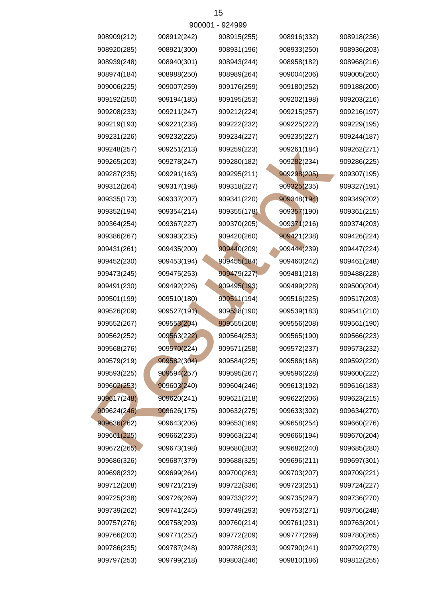|             | <u>JUUU 1</u> | ◡◡┬◡◡       |             |             |
|-------------|---------------|-------------|-------------|-------------|
| 908909(212) | 908912(242)   | 908915(255) | 908916(332) | 908918(236) |
| 908920(285) | 908921(300)   | 908931(196) | 908933(250) | 908936(203) |
| 908939(248) | 908940(301)   | 908943(244) | 908958(182) | 908968(216) |
| 908974(184) | 908988(250)   | 908989(264) | 909004(206) | 909005(260) |
| 909006(225) | 909007(259)   | 909176(259) | 909180(252) | 909188(200) |
| 909192(250) | 909194(185)   | 909195(253) | 909202(198) | 909203(216) |
| 909208(233) | 909211(247)   | 909212(224) | 909215(257) | 909216(197) |
| 909219(193) | 909221(238)   | 909222(232) | 909225(222) | 909229(195) |
| 909231(226) | 909232(225)   | 909234(227) | 909235(227) | 909244(187) |
| 909248(257) | 909251(213)   | 909259(223) | 909261(184) | 909262(271) |
| 909265(203) | 909278(247)   | 909280(182) | 909282(234) | 909286(225) |
| 909287(235) | 909291(163)   | 909295(211) | 909298(205) | 909307(195) |
| 909312(264) | 909317(198)   | 909318(227) | 909325(235) | 909327(191) |
| 909335(173) | 909337(207)   | 909341(220) | 909348(194) | 909349(202) |
| 909352(194) | 909354(214)   | 909355(178) | 909357(190) | 909361(215) |
| 909364(254) | 909367(227)   | 909370(205) | 909371(216) | 909374(203) |
| 909386(267) | 909393(235)   | 909420(260) | 909421(238) | 909426(224) |
| 909431(261) | 909435(200)   | 909440(209) | 909444(239) | 909447(224) |
| 909452(230) | 909453(194)   | 909455(184) | 909460(242) | 909461(248) |
| 909473(245) | 909475(253)   | 909479(227) | 909481(218) | 909488(228) |
| 909491(230) | 909492(226)   | 909495(193) | 909499(228) | 909500(204) |
| 909501(199) | 909510(180)   | 909511(194) | 909516(225) | 909517(203) |
| 909526(209) | 909527(191)   | 909538(190) | 909539(183) | 909541(210) |
| 909552(267) | 909553(204)   | 909555(208) | 909556(208) | 909561(190) |
| 909562(252) | 909563(222)   | 909564(253) | 909565(190) | 909566(223) |
| 909568(276) | 909570(224)   | 909571(258) | 909572(237) | 909573(232) |
| 909579(219) | 909582(304)   | 909584(225) | 909586(168) | 909592(220) |
| 909593(225) | 909594(257)   | 909595(267) | 909596(228) | 909600(222) |
| 909602(253) | 909603(240)   | 909604(246) | 909613(192) | 909616(183) |
| 909617(248) | 909620(241)   | 909621(218) | 909622(206) | 909623(215) |
| 909624(246) | 909626(175)   | 909632(275) | 909633(302) | 909634(270) |
| 909636(262) | 909643(206)   | 909653(169) | 909658(254) | 909660(276) |
| 909661(225) | 909662(235)   | 909663(224) | 909666(194) | 909670(204) |
| 909672(265) | 909673(198)   | 909680(283) | 909682(240) | 909685(280) |
| 909686(326) | 909687(379)   | 909688(325) | 909696(211) | 909697(301) |
| 909698(232) | 909699(264)   | 909700(263) | 909703(207) | 909709(221) |
| 909712(208) | 909721(219)   | 909722(336) | 909723(251) | 909724(227) |
| 909725(238) | 909726(269)   | 909733(222) | 909735(297) | 909736(270) |
| 909739(262) | 909741(245)   | 909749(293) | 909753(271) | 909756(248) |
| 909757(276) | 909758(293)   | 909760(214) | 909761(231) | 909763(201) |
| 909766(203) | 909771(252)   | 909772(209) | 909777(269) | 909780(265) |
| 909786(235) | 909787(248)   | 909788(293) | 909790(241) | 909792(279) |
| 909797(253) | 909799(218)   | 909803(246) | 909810(186) | 909812(255) |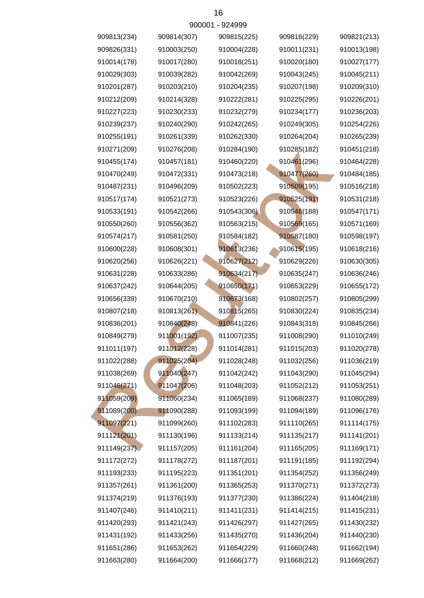| 909813(234) | 909814(307) | 909815(225) | 909816(229) | 909821(213) |
|-------------|-------------|-------------|-------------|-------------|
| 909826(331) | 910003(250) | 910004(228) | 910011(231) | 910013(198) |
| 910014(178) | 910017(280) | 910018(251) | 910020(180) | 910027(177) |
| 910029(303) | 910039(282) | 910042(269) | 910043(245) | 910045(211) |
| 910201(287) | 910203(210) | 910204(235) | 910207(198) | 910209(310) |
| 910212(209) | 910214(328) | 910222(281) | 910225(295) | 910226(201) |
| 910227(223) | 910230(233) | 910232(279) | 910234(177) | 910236(203) |
| 910239(237) | 910240(290) | 910242(265) | 910249(305) | 910254(226) |
| 910255(191) | 910261(339) | 910262(330) | 910264(204) | 910265(239) |
| 910271(209) | 910276(208) | 910284(190) | 910285(182) | 910451(218) |
| 910455(174) | 910457(181) | 910460(220) | 910461(296) | 910464(228) |
| 910470(249) | 910472(331) | 910473(218) | 910477(260) | 910484(185) |
| 910487(231) | 910496(209) | 910502(223) | 910509(195) | 910516(218) |
| 910517(174) | 910521(273) | 910523(226) | 910525(191) | 910531(218) |
| 910533(191) | 910542(266) | 910543(306) | 910546(188) | 910547(171) |
| 910550(260) | 910556(362) | 910563(215) | 910569(165) | 910571(169) |
| 910574(217) | 910581(250) | 910584(182) | 910587(180) | 910598(197) |
| 910600(228) | 910608(301) | 910613(236) | 910615(195) | 910618(216) |
| 910620(256) | 910626(221) | 910627(212) | 910629(226) | 910630(305) |
| 910631(228) | 910633(286) | 910634(217) | 910635(247) | 910636(246) |
| 910637(242) | 910644(205) | 910650(171) | 910653(229) | 910655(172) |
| 910656(339) | 910670(210) | 910673(168) | 910802(257) | 910805(299) |
| 910807(218) | 910813(261) | 910815(265) | 910830(224) | 910835(234) |
| 910836(201) | 910840(248) | 910841(226) | 910843(318) | 910845(266) |
| 910849(279) | 911001(192) | 911007(235) | 911008(290) | 911010(249) |
| 911011(197) | 911012(228) | 911014(281) | 911015(203) | 911020(278) |
| 911022(288) | 911025(204) | 911028(248) | 911032(256) | 911036(219) |
| 911038(269) | 911040(247) | 911042(242) | 911043(290) | 911045(294) |
| 911046(271) | 911047(206) | 911048(203) | 911052(212) | 911053(251) |
| 911059(209) | 911060(234) | 911065(189) | 911068(237) | 911080(289) |
| 911089(200) | 911090(288) | 911093(199) | 911094(189) | 911096(176) |
| 911097(221) | 911099(260) | 911102(283) | 911110(265) | 911114(175) |
| 911121(201) | 911130(196) | 911133(214) | 911135(217) | 911141(201) |
| 911149(237) | 911157(205) | 911161(204) | 911165(205) | 911169(171) |
| 911172(272) | 911178(272) | 911187(201) | 911191(185) | 911192(294) |
| 911193(233) | 911195(223) | 911351(201) | 911354(252) | 911356(249) |
| 911357(261) | 911361(200) | 911365(253) | 911370(271) | 911372(273) |
| 911374(219) | 911376(193) | 911377(230) | 911386(224) | 911404(218) |
| 911407(246) | 911410(211) | 911411(231) | 911414(215) | 911415(231) |
| 911420(293) | 911421(243) | 911426(297) | 911427(265) | 911430(232) |
| 911431(192) | 911433(256) | 911435(270) | 911436(204) | 911440(230) |
| 911651(286) | 911653(262) | 911654(229) | 911660(248) | 911662(194) |
| 911663(280) | 911664(200) | 911666(177) | 911668(212) | 911669(262) |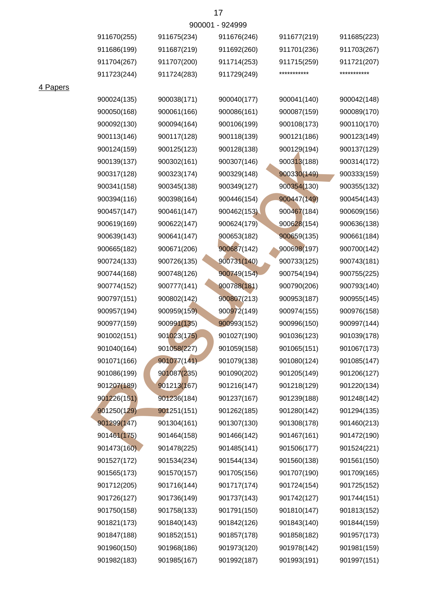|        | 900001 - 924999 |    |
|--------|-----------------|----|
| 5(234) | 911676(246)     | 91 |

| 911670(255) | 911675(234) | 911676(246) | 911677(219) | 911685(223) |
|-------------|-------------|-------------|-------------|-------------|
| 911686(199) | 911687(219) | 911692(260) | 911701(236) | 911703(267) |
| 911704(267) | 911707(200) | 911714(253) | 911715(259) | 911721(207) |
| 911723(244) | 911724(283) | 911729(249) | *********** | *********** |
|             |             |             |             |             |
| 900024(135) | 900038(171) | 900040(177) | 900041(140) | 900042(148) |
| 900050(168) | 900061(166) | 900086(161) | 900087(159) | 900089(170) |
| 900092(130) | 900094(164) | 900106(199) | 900108(173) | 900110(170) |
| 900113(146) | 900117(128) | 900118(139) | 900121(186) | 900123(149) |
| 900124(159) | 900125(123) | 900128(138) | 900129(194) | 900137(129) |
| 900139(137) | 900302(161) | 900307(146) | 900313(188) | 900314(172) |
| 900317(128) | 900323(174) | 900329(148) | 900330(149) | 900333(159) |
| 900341(158) | 900345(138) | 900349(127) | 900354(130) | 900355(132) |
| 900394(116) | 900398(164) | 900446(154) | 900447(149) | 900454(143) |
| 900457(147) | 900461(147) | 900462(153) | 900467(184) | 900609(156) |
| 900619(169) | 900622(147) | 900624(179) | 900628(154) | 900636(138) |
| 900639(143) | 900641(147) | 900653(182) | 900659(135) | 900661(184) |
| 900665(182) | 900671(206) | 900687(142) | 900698(197) | 900700(142) |
| 900724(133) | 900726(135) | 900731(140) | 900733(125) | 900743(181) |
| 900744(168) | 900748(126) | 900749(154) | 900754(194) | 900755(225) |
| 900774(152) | 900777(141) | 900788(181) | 900790(206) | 900793(140) |
| 900797(151) | 900802(142) | 900807(213) | 900953(187) | 900955(145) |
| 900957(194) | 900959(159) | 900972(149) | 900974(155) | 900976(158) |
| 900977(159) | 900991(135) | 900993(152) | 900996(150) | 900997(144) |
| 901002(151) | 901023(175) | 901027(190) | 901036(123) | 901039(178) |
| 901040(164) | 901058(227) | 901059(158) | 901065(151) | 901067(173) |
| 901071(166) | 901077(141) | 901079(138) | 901080(124) | 901085(147) |
| 901086(199) | 901087(235) | 901090(202) | 901205(149) | 901206(127) |
| 901207(189) | 901213(167) | 901216(147) | 901218(129) | 901220(134) |
| 901226(151) | 901236(184) | 901237(167) | 901239(188) | 901248(142) |
| 901250(129) | 901251(151) | 901262(185) | 901280(142) | 901294(135) |
| 901299(147) | 901304(161) | 901307(130) | 901308(178) | 901460(213) |
| 901461(175) | 901464(158) | 901466(142) | 901467(161) | 901472(190) |
| 901473(160) | 901478(225) | 901485(141) | 901506(177) | 901524(221) |
| 901527(172) | 901534(234) | 901544(134) | 901560(138) | 901561(150) |
| 901565(173) | 901570(157) | 901705(156) | 901707(190) | 901709(165) |
| 901712(205) | 901716(144) | 901717(174) | 901724(154) | 901725(152) |
| 901726(127) | 901736(149) | 901737(143) | 901742(127) | 901744(151) |
| 901750(158) | 901758(133) | 901791(150) | 901810(147) | 901813(152) |
| 901821(173) | 901840(143) | 901842(126) | 901843(140) | 901844(159) |
| 901847(188) | 901852(151) | 901857(178) | 901858(182) | 901957(173) |
| 901960(150) | 901968(186) | 901973(120) | 901978(142) | 901981(159) |
| 901982(183) | 901985(167) | 901992(187) | 901993(191) | 901997(151) |

4 Papers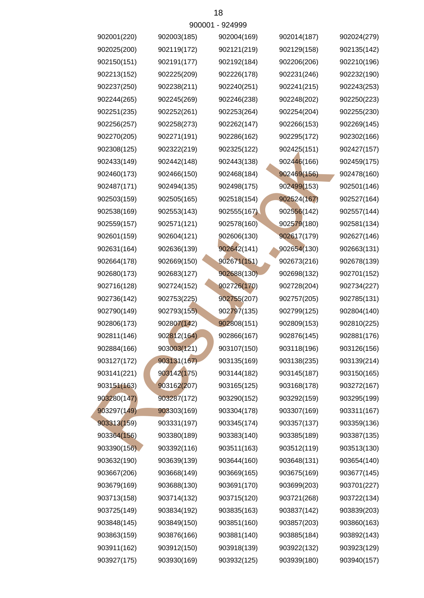|             | <u>JUUU 1</u> | ິ⊃∠−ບບບ     |             |             |
|-------------|---------------|-------------|-------------|-------------|
| 902001(220) | 902003(185)   | 902004(169) | 902014(187) | 902024(279) |
| 902025(200) | 902119(172)   | 902121(219) | 902129(158) | 902135(142) |
| 902150(151) | 902191(177)   | 902192(184) | 902206(206) | 902210(196) |
| 902213(152) | 902225(209)   | 902226(178) | 902231(246) | 902232(190) |
| 902237(250) | 902238(211)   | 902240(251) | 902241(215) | 902243(253) |
| 902244(265) | 902245(269)   | 902246(238) | 902248(202) | 902250(223) |
| 902251(235) | 902252(261)   | 902253(264) | 902254(204) | 902255(230) |
| 902256(257) | 902258(273)   | 902262(147) | 902266(153) | 902269(145) |
| 902270(205) | 902271(191)   | 902286(162) | 902295(172) | 902302(166) |
| 902308(125) | 902322(219)   | 902325(122) | 902425(151) | 902427(157) |
| 902433(149) | 902442(148)   | 902443(138) | 902446(166) | 902459(175) |
| 902460(173) | 902466(150)   | 902468(184) | 902469(156) | 902478(160) |
| 902487(171) | 902494(135)   | 902498(175) | 902499(153) | 902501(146) |
| 902503(159) | 902505(165)   | 902518(154) | 902524(167) | 902527(164) |
| 902538(169) | 902553(143)   | 902555(167) | 902556(142) | 902557(144) |
| 902559(157) | 902571(121)   | 902578(160) | 902579(180) | 902581(134) |
| 902601(159) | 902604(121)   | 902606(130) | 902617(179) | 902627(146) |
| 902631(164) | 902636(139)   | 902642(141) | 902654(130) | 902663(131) |
| 902664(178) | 902669(150)   | 902671(151) | 902673(216) | 902678(139) |
| 902680(173) | 902683(127)   | 902688(130) | 902698(132) | 902701(152) |
| 902716(128) | 902724(152)   | 902726(170) | 902728(204) | 902734(227) |
| 902736(142) | 902753(225)   | 902755(207) | 902757(205) | 902785(131) |
| 902790(149) | 902793(155)   | 902797(135) | 902799(125) | 902804(140) |
| 902806(173) | 902807(142)   | 902808(151) | 902809(153) | 902810(225) |
| 902811(146) | 902812(164)   | 902866(167) | 902876(145) | 902881(176) |
| 902884(166) | 903003(121)   | 903107(150) | 903118(196) | 903126(156) |
| 903127(172) | 903131(167)   | 903135(169) | 903138(235) | 903139(214) |
| 903141(221) | 903142(175)   | 903144(182) | 903145(187) | 903150(165) |
| 903151(163) | 903162(207)   | 903165(125) | 903168(178) | 903272(167) |
| 903280(147) | 903287(172)   | 903290(152) | 903292(159) | 903295(199) |
| 903297(149) | 903303(169)   | 903304(178) | 903307(169) | 903311(167) |
| 903313(159) | 903331(197)   | 903345(174) | 903357(137) | 903359(136) |
| 903364(156) | 903380(189)   | 903383(140) | 903385(189) | 903387(135) |
| 903390(156) | 903392(116)   | 903511(163) | 903512(119) | 903513(130) |
| 903632(190) | 903639(139)   | 903644(160) | 903648(131) | 903654(140) |
| 903667(206) | 903668(149)   | 903669(165) | 903675(169) | 903677(145) |
| 903679(169) | 903688(130)   | 903691(170) | 903699(203) | 903701(227) |
| 903713(158) | 903714(132)   | 903715(120) | 903721(268) | 903722(134) |
| 903725(149) | 903834(192)   | 903835(163) | 903837(142) | 903839(203) |
| 903848(145) | 903849(150)   | 903851(160) | 903857(203) | 903860(163) |
| 903863(159) | 903876(166)   | 903881(140) | 903885(184) | 903892(143) |
| 903911(162) | 903912(150)   | 903918(139) | 903922(132) | 903923(129) |
| 903927(175) | 903930(169)   | 903932(125) | 903939(180) | 903940(157) |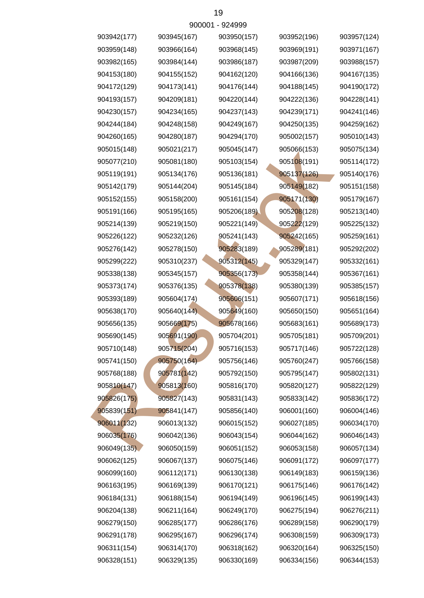|             |             | <u>JUUUU LE JZHJJJ</u> |             |             |
|-------------|-------------|------------------------|-------------|-------------|
| 903942(177) | 903945(167) | 903950(157)            | 903952(196) | 903957(124) |
| 903959(148) | 903966(164) | 903968(145)            | 903969(191) | 903971(167) |
| 903982(165) | 903984(144) | 903986(187)            | 903987(209) | 903988(157) |
| 904153(180) | 904155(152) | 904162(120)            | 904166(136) | 904167(135) |
| 904172(129) | 904173(141) | 904176(144)            | 904188(145) | 904190(172) |
| 904193(157) | 904209(181) | 904220(144)            | 904222(136) | 904228(141) |
| 904230(157) | 904234(165) | 904237(143)            | 904239(171) | 904241(146) |
| 904244(184) | 904248(158) | 904249(167)            | 904250(135) | 904259(162) |
| 904260(165) | 904280(187) | 904294(170)            | 905002(157) | 905010(143) |
| 905015(148) | 905021(217) | 905045(147)            | 905066(153) | 905075(134) |
| 905077(210) | 905081(180) | 905103(154)            | 905108(191) | 905114(172) |
| 905119(191) | 905134(176) | 905136(181)            | 905137(126) | 905140(176) |
| 905142(179) | 905144(204) | 905145(184)            | 905149(182) | 905151(158) |
| 905152(155) | 905158(200) | 905161(154)            | 905171(130) | 905179(167) |
| 905191(166) | 905195(165) | 905206(189)            | 905208(128) | 905213(140) |
| 905214(139) | 905219(150) | 905221(149)            | 905222(129) | 905225(132) |
| 905226(122) | 905232(126) | 905241(143)            | 905242(165) | 905259(161) |
| 905276(142) | 905278(150) | 905283(189)            | 905289(181) | 905292(202) |
| 905299(222) | 905310(237) | 905312(145)            | 905329(147) | 905332(161) |
| 905338(138) | 905345(157) | 905356(173)            | 905358(144) | 905367(161) |
| 905373(174) | 905376(135) | 905378(138)            | 905380(139) | 905385(157) |
| 905393(189) | 905604(174) | 905606(151)            | 905607(171) | 905618(156) |
| 905638(170) | 905640(144) | 905649(160)            | 905650(150) | 905651(164) |
| 905656(135) | 905669(175) | 905678(166)            | 905683(161) | 905689(173) |
| 905690(145) | 905691(190) | 905704(201)            | 905705(181) | 905709(201) |
| 905710(148) | 905715(204) | 905716(153)            | 905717(146) | 905722(128) |
| 905741(150) | 905750(164) | 905756(146)            | 905760(247) | 905766(158) |
| 905768(188) | 905781(142) | 905792(150)            | 905795(147) | 905802(131) |
| 905810(147) | 905813(160) | 905816(170)            | 905820(127) | 905822(129) |
| 905826(175) | 905827(143) | 905831(143)            | 905833(142) | 905836(172) |
| 905839(151) | 905841(147) | 905856(140)            | 906001(160) | 906004(146) |
| 906011(132) | 906013(132) | 906015(152)            | 906027(185) | 906034(170) |
| 906035(176) | 906042(136) | 906043(154)            | 906044(162) | 906046(143) |
| 906049(135) | 906050(159) | 906051(152)            | 906053(158) | 906057(134) |
| 906062(125) | 906067(137) | 906075(146)            | 906091(172) | 906097(177) |
| 906099(160) | 906112(171) | 906130(138)            | 906149(183) | 906159(136) |
| 906163(195) | 906169(139) | 906170(121)            | 906175(146) | 906176(142) |
| 906184(131) | 906188(154) | 906194(149)            | 906196(145) | 906199(143) |
| 906204(138) | 906211(164) | 906249(170)            | 906275(194) | 906276(211) |
| 906279(150) | 906285(177) | 906286(176)            | 906289(158) | 906290(179) |
| 906291(178) | 906295(167) | 906296(174)            | 906308(159) | 906309(173) |
| 906311(154) | 906314(170) | 906318(162)            | 906320(164) | 906325(150) |
| 906328(151) | 906329(135) | 906330(169)            | 906334(156) | 906344(153) |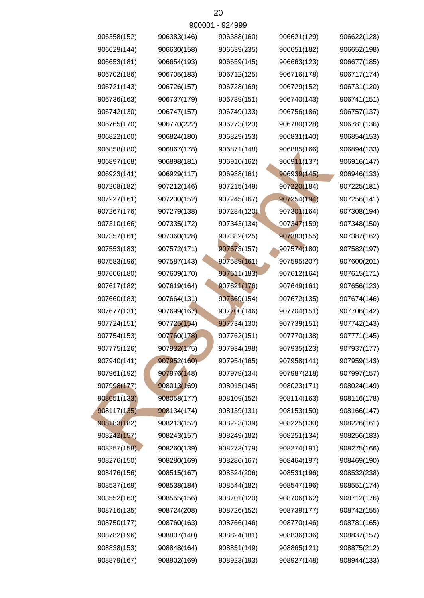|             |             | ลิกกกก เ - ลิริสลิลลิ |             |             |
|-------------|-------------|-----------------------|-------------|-------------|
| 906358(152) | 906383(146) | 906388(160)           | 906621(129) | 906622(128) |
| 906629(144) | 906630(158) | 906639(235)           | 906651(182) | 906652(198) |
| 906653(181) | 906654(193) | 906659(145)           | 906663(123) | 906677(185) |
| 906702(186) | 906705(183) | 906712(125)           | 906716(178) | 906717(174) |
| 906721(143) | 906726(157) | 906728(169)           | 906729(152) | 906731(120) |
| 906736(163) | 906737(179) | 906739(151)           | 906740(143) | 906741(151) |
| 906742(130) | 906747(157) | 906749(133)           | 906756(186) | 906757(137) |
| 906765(170) | 906770(222) | 906773(123)           | 906780(128) | 906781(136) |
| 906822(160) | 906824(180) | 906829(153)           | 906831(140) | 906854(153) |
| 906858(180) | 906867(178) | 906871(148)           | 906885(166) | 906894(133) |
| 906897(168) | 906898(181) | 906910(162)           | 906911(137) | 906916(147) |
| 906923(141) | 906929(117) | 906938(161)           | 906939(145) | 906946(133) |
| 907208(182) | 907212(146) | 907215(149)           | 907220(184) | 907225(181) |
| 907227(161) | 907230(152) | 907245(167)           | 907254(194) | 907256(141) |
| 907267(176) | 907279(138) | 907284(120)           | 907301(164) | 907308(194) |
| 907310(166) | 907335(172) | 907343(134)           | 907347(159) | 907348(150) |
| 907357(161) | 907360(128) | 907382(125)           | 907383(155) | 907387(162) |
| 907553(183) | 907572(171) | 907573(157)           | 907574(180) | 907582(197) |
| 907583(196) | 907587(143) | 907589(161)           | 907595(207) | 907600(201) |
| 907606(180) | 907609(170) | 907611(183)           | 907612(164) | 907615(171) |
| 907617(182) | 907619(164) | 907621(176)           | 907649(161) | 907656(123) |
| 907660(183) | 907664(131) | 907669(154)           | 907672(135) | 907674(146) |
| 907677(131) | 907699(167) | 907700(146)           | 907704(151) | 907706(142) |
| 907724(151) | 907725(154) | 907734(130)           | 907739(151) | 907742(143) |
| 907754(153) | 907760(178) | 907762(151)           | 907770(138) | 907771(145) |
| 907775(126) | 907932(175) | 907934(198)           | 907935(123) | 907937(177) |
| 907940(141) | 907952(160) | 907954(165)           | 907958(141) | 907959(143) |
| 907961(192) | 907976(148) | 907979(134)           | 907987(218) | 907997(157) |
| 907998(177) | 908013(169) | 908015(145)           | 908023(171) | 908024(149) |
| 908051(133) | 908058(177) | 908109(152)           | 908114(163) | 908116(178) |
| 908117(135) | 908134(174) | 908139(131)           | 908153(150) | 908166(147) |
| 908183(182) | 908213(152) | 908223(139)           | 908225(130) | 908226(161) |
| 908242(157) | 908243(157) | 908249(182)           | 908251(134) | 908256(183) |
| 908257(158) | 908260(139) | 908273(179)           | 908274(191) | 908275(166) |
| 908276(150) | 908280(169) | 908286(167)           | 908464(197) | 908469(190) |
| 908476(156) | 908515(167) | 908524(206)           | 908531(196) | 908532(238) |
| 908537(169) | 908538(184) | 908544(182)           | 908547(196) | 908551(174) |
| 908552(163) | 908555(156) | 908701(120)           | 908706(162) | 908712(176) |
| 908716(135) | 908724(208) | 908726(152)           | 908739(177) | 908742(155) |
| 908750(177) | 908760(163) | 908766(146)           | 908770(146) | 908781(165) |
| 908782(196) | 908807(140) | 908824(181)           | 908836(136) | 908837(157) |
| 908838(153) | 908848(164) | 908851(149)           | 908865(121) | 908875(212) |
| 908879(167) | 908902(169) | 908923(193)           | 908927(148) | 908944(133) |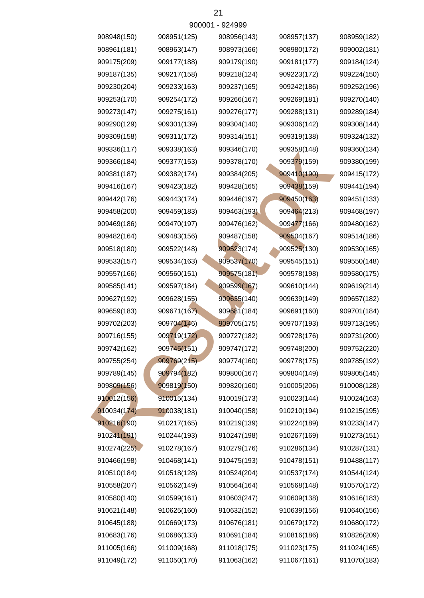|             |             | <u> ANNNI - ATHAAA</u> |             |             |
|-------------|-------------|------------------------|-------------|-------------|
| 908948(150) | 908951(125) | 908956(143)            | 908957(137) | 908959(182) |
| 908961(181) | 908963(147) | 908973(166)            | 908980(172) | 909002(181) |
| 909175(209) | 909177(188) | 909179(190)            | 909181(177) | 909184(124) |
| 909187(135) | 909217(158) | 909218(124)            | 909223(172) | 909224(150) |
| 909230(204) | 909233(163) | 909237(165)            | 909242(186) | 909252(196) |
| 909253(170) | 909254(172) | 909266(167)            | 909269(181) | 909270(140) |
| 909273(147) | 909275(161) | 909276(177)            | 909288(131) | 909289(184) |
| 909290(129) | 909301(139) | 909304(140)            | 909306(142) | 909308(144) |
| 909309(158) | 909311(172) | 909314(151)            | 909319(138) | 909324(132) |
| 909336(117) | 909338(163) | 909346(170)            | 909358(148) | 909360(134) |
| 909366(184) | 909377(153) | 909378(170)            | 909379(159) | 909380(199) |
| 909381(187) | 909382(174) | 909384(205)            | 909410(190) | 909415(172) |
| 909416(167) | 909423(182) | 909428(165)            | 909438(159) | 909441(194) |
| 909442(176) | 909443(174) | 909446(197)            | 909450(163) | 909451(133) |
| 909458(200) | 909459(183) | 909463(193)            | 909464(213) | 909468(197) |
| 909469(186) | 909470(197) | 909476(162)            | 909477(166) | 909480(162) |
| 909482(164) | 909483(156) | 909487(158)            | 909504(167) | 909514(186) |
| 909518(180) | 909522(148) | 909523(174)            | 909525(130) | 909530(165) |
| 909533(157) | 909534(163) | 909537(170)            | 909545(151) | 909550(148) |
| 909557(166) | 909560(151) | 909575(181)            | 909578(198) | 909580(175) |
| 909585(141) | 909597(184) | 909599(167)            | 909610(144) | 909619(214) |
| 909627(192) | 909628(155) | 909635(140)            | 909639(149) | 909657(182) |
| 909659(183) | 909671(167) | 909681(184)            | 909691(160) | 909701(184) |
| 909702(203) | 909704(146) | 909705(175)            | 909707(193) | 909713(195) |
| 909716(155) | 909719(172) | 909727(182)            | 909728(176) | 909731(200) |
| 909742(162) | 909745(151) | 909747(172)            | 909748(200) | 909752(220) |
| 909755(254) | 909769(215) | 909774(160)            | 909778(175) | 909785(192) |
| 909789(145) | 909794(182) | 909800(167)            | 909804(149) | 909805(145) |
| 909809(156) | 909819(150) | 909820(160)            | 910005(206) | 910008(128) |
| 910012(156) | 910015(134) | 910019(173)            | 910023(144) | 910024(163) |
| 910034(174) | 910038(181) | 910040(158)            | 910210(194) | 910215(195) |
| 910216(190) | 910217(165) | 910219(139)            | 910224(189) | 910233(147) |
| 910241(191) | 910244(193) | 910247(198)            | 910267(169) | 910273(151) |
| 910274(225) | 910278(167) | 910279(176)            | 910286(134) | 910287(131) |
| 910466(198) | 910468(141) | 910475(193)            | 910478(151) | 910488(117) |
| 910510(184) | 910518(128) | 910524(204)            | 910537(174) | 910544(124) |
| 910558(207) | 910562(149) | 910564(164)            | 910568(148) | 910570(172) |
| 910580(140) | 910599(161) | 910603(247)            | 910609(138) | 910616(183) |
| 910621(148) | 910625(160) | 910632(152)            | 910639(156) | 910640(156) |
| 910645(188) | 910669(173) | 910676(181)            | 910679(172) | 910680(172) |
| 910683(176) | 910686(133) | 910691(184)            | 910816(186) | 910826(209) |
| 911005(166) | 911009(168) | 911018(175)            | 911023(175) | 911024(165) |
| 911049(172) | 911050(170) | 911063(162)            | 911067(161) | 911070(183) |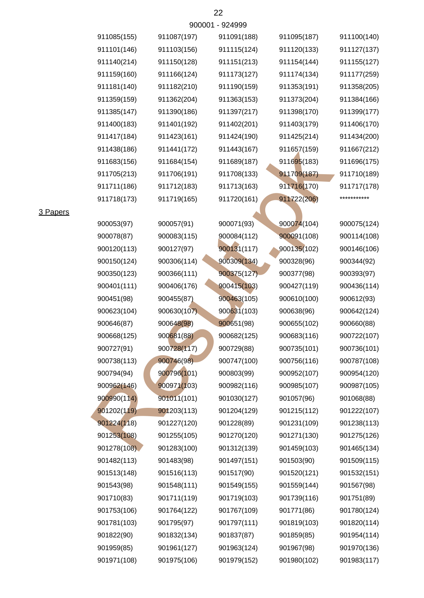|             |             | 900001 - 924999 |             |             |
|-------------|-------------|-----------------|-------------|-------------|
| 911085(155) | 911087(197) | 911091(188)     | 911095(187) | 911100(140) |
| 911101(146) | 911103(156) | 911115(124)     | 911120(133) | 911127(137) |
| 911140(214) | 911150(128) | 911151(213)     | 911154(144) | 911155(127) |
| 911159(160) | 911166(124) | 911173(127)     | 911174(134) | 911177(259) |
| 911181(140) | 911182(210) | 911190(159)     | 911353(191) | 911358(205) |
| 911359(159) | 911362(204) | 911363(153)     | 911373(204) | 911384(166) |
| 911385(147) | 911390(186) | 911397(217)     | 911398(170) | 911399(177) |
| 911400(183) | 911401(192) | 911402(201)     | 911403(179) | 911406(170) |
| 911417(184) | 911423(161) | 911424(190)     | 911425(214) | 911434(200) |
| 911438(186) | 911441(172) | 911443(167)     | 911657(159) | 911667(212) |
| 911683(156) | 911684(154) | 911689(187)     | 911695(183) | 911696(175) |
| 911705(213) | 911706(191) | 911708(133)     | 911709(187) | 911710(189) |
| 911711(186) | 911712(183) | 911713(163)     | 911716(170) | 911717(178) |
| 911718(173) | 911719(165) | 911720(161)     | 911722(206) | *********** |
|             |             |                 |             |             |
| 900053(97)  | 900057(91)  | 900071(93)      | 900074(104) | 900075(124) |
| 900078(87)  | 900083(115) | 900084(112)     | 900091(108) | 900114(108) |
| 900120(113) | 900127(97)  | 900131(117)     | 900135(102) | 900146(106) |
| 900150(124) | 900306(114) | 900309(134)     | 900328(96)  | 900344(92)  |
| 900350(123) | 900366(111) | 900375(127)     | 900377(98)  | 900393(97)  |
| 900401(111) | 900406(176) | 900415(103)     | 900427(119) | 900436(114) |
| 900451(98)  | 900455(87)  | 900463(105)     | 900610(100) | 900612(93)  |
| 900623(104) | 900630(107) | 900631(103)     | 900638(96)  | 900642(124) |
| 900646(87)  | 900648(98)  | 900651(98)      | 900655(102) | 900660(88)  |
| 900668(125) | 900681(88)  | 900682(125)     | 900683(116) | 900722(107) |
| 900727(91)  | 900728(117) | 900729(88)      | 900735(101) | 900736(101) |
| 900738(113) | 900746(98)  | 900747(100)     | 900756(116) | 900787(108) |
| 900794(94)  | 900796(101) | 900803(99)      | 900952(107) | 900954(120) |
| 900962(146) | 900971(103) | 900982(116)     | 900985(107) | 900987(105) |
| 900990(114) | 901011(101) | 901030(127)     | 901057(96)  | 901068(88)  |
| 901202(119) | 901203(113) | 901204(129)     | 901215(112) | 901222(107) |
| 901224(118) | 901227(120) | 901228(89)      | 901231(109) | 901238(113) |
| 901253(108) | 901255(105) | 901270(120)     | 901271(130) | 901275(126) |
| 901278(108) | 901283(100) | 901312(139)     | 901459(103) | 901465(134) |
| 901482(113) | 901483(98)  | 901497(151)     | 901503(90)  | 901509(115) |
| 901513(148) | 901516(113) | 901517(90)      | 901520(121) | 901532(151) |
| 901543(98)  | 901548(111) | 901549(155)     | 901559(144) | 901567(98)  |
| 901710(83)  | 901711(119) | 901719(103)     | 901739(116) | 901751(89)  |
| 901753(106) | 901764(122) | 901767(109)     | 901771(86)  | 901780(124) |
| 901781(103) | 901795(97)  | 901797(111)     | 901819(103) | 901820(114) |

901959(85) 901961(127) 901963(124) 901967(98) 901970(136) 901822(90) 901832(134) 901837(87) 901859(85) 901954(114)

901971(108) 901975(106) 901979(152) 901980(102) 901983(117)

3 Papers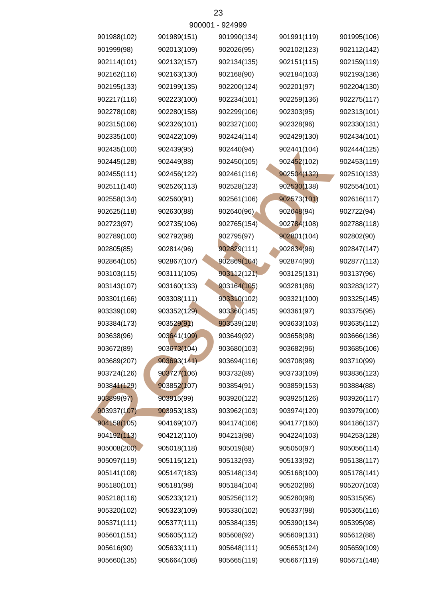|             |             | <b>AUNNI - ATTAAA</b> |             |             |
|-------------|-------------|-----------------------|-------------|-------------|
| 901988(102) | 901989(151) | 901990(134)           | 901991(119) | 901995(106) |
| 901999(98)  | 902013(109) | 902026(95)            | 902102(123) | 902112(142) |
| 902114(101) | 902132(157) | 902134(135)           | 902151(115) | 902159(119) |
| 902162(116) | 902163(130) | 902168(90)            | 902184(103) | 902193(136) |
| 902195(133) | 902199(135) | 902200(124)           | 902201(97)  | 902204(130) |
| 902217(116) | 902223(100) | 902234(101)           | 902259(136) | 902275(117) |
| 902278(108) | 902280(158) | 902299(106)           | 902303(95)  | 902313(101) |
| 902315(106) | 902326(101) | 902327(100)           | 902328(96)  | 902330(131) |
| 902335(100) | 902422(109) | 902424(114)           | 902429(130) | 902434(101) |
| 902435(100) | 902439(95)  | 902440(94)            | 902441(104) | 902444(125) |
| 902445(128) | 902449(88)  | 902450(105)           | 902452(102) | 902453(119) |
| 902455(111) | 902456(122) | 902461(116)           | 902504(132) | 902510(133) |
| 902511(140) | 902526(113) | 902528(123)           | 902530(138) | 902554(101) |
| 902558(134) | 902560(91)  | 902561(106)           | 902573(101) | 902616(117) |
| 902625(118) | 902630(88)  | 902640(96)            | 902648(94)  | 902722(94)  |
| 902723(97)  | 902735(106) | 902765(154)           | 902784(108) | 902788(118) |
| 902789(100) | 902792(98)  | 902795(97)            | 902801(104) | 902802(90)  |
| 902805(85)  | 902814(96)  | 902829(111)           | 902834(96)  | 902847(147) |
| 902864(105) | 902867(107) | 902869(104)           | 902874(90)  | 902877(113) |
| 903103(115) | 903111(105) | 903112(121)           | 903125(131) | 903137(96)  |
| 903143(107) | 903160(133) | 903164(105)           | 903281(86)  | 903283(127) |
| 903301(166) | 903308(111) | 903310(102)           | 903321(100) | 903325(145) |
| 903339(109) | 903352(129) | 903360(145)           | 903361(97)  | 903375(95)  |
| 903384(173) | 903529(91)  | 903539(128)           | 903633(103) | 903635(112) |
| 903638(96)  | 903641(109) | 903649(92)            | 903658(98)  | 903666(136) |
| 903672(89)  | 903673(104) | 903680(103)           | 903682(96)  | 903685(106) |
| 903689(207) | 903693(141) | 903694(116)           | 903708(98)  | 903710(99)  |
| 903724(126) | 903727(106) | 903732(89)            | 903733(109) | 903836(123) |
| 903841(129) | 903852(107) | 903854(91)            | 903859(153) | 903884(88)  |
| 903899(97)  | 903915(99)  | 903920(122)           | 903925(126) | 903926(117) |
| 903937(107) | 903953(183) | 903962(103)           | 903974(120) | 903979(100) |
| 904158(105) | 904169(107) | 904174(106)           | 904177(160) | 904186(137) |
| 904192(113) | 904212(110) | 904213(98)            | 904224(103) | 904253(128) |
| 905008(200) | 905018(118) | 905019(88)            | 905050(97)  | 905056(114) |
| 905097(119) | 905115(121) | 905132(93)            | 905133(92)  | 905138(117) |
| 905141(108) | 905147(183) | 905148(134)           | 905168(100) | 905178(141) |
| 905180(101) | 905181(98)  | 905184(104)           | 905202(86)  | 905207(103) |
| 905218(116) | 905233(121) | 905256(112)           | 905280(98)  | 905315(95)  |
| 905320(102) | 905323(109) | 905330(102)           | 905337(98)  | 905365(116) |
| 905371(111) | 905377(111) | 905384(135)           | 905390(134) | 905395(98)  |
| 905601(151) | 905605(112) | 905608(92)            | 905609(131) | 905612(88)  |
| 905616(90)  | 905633(111) | 905648(111)           | 905653(124) | 905659(109) |
| 905660(135) | 905664(108) | 905665(119)           | 905667(119) | 905671(148) |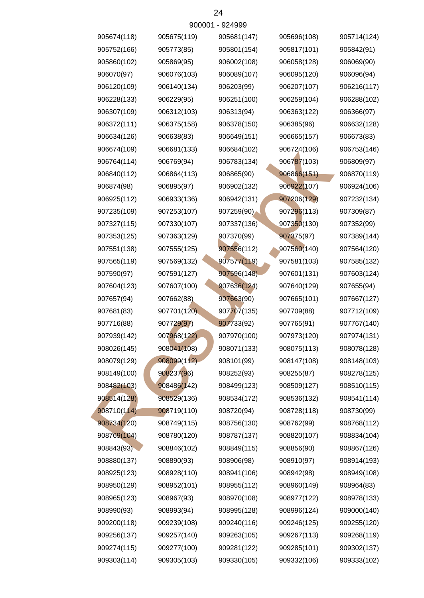|             |             | 900001 - 924999 |             |             |
|-------------|-------------|-----------------|-------------|-------------|
| 905674(118) | 905675(119) | 905681(147)     | 905696(108) | 905714(124) |
| 905752(166) | 905773(85)  | 905801(154)     | 905817(101) | 905842(91)  |
| 905860(102) | 905869(95)  | 906002(108)     | 906058(128) | 906069(90)  |
| 906070(97)  | 906076(103) | 906089(107)     | 906095(120) | 906096(94)  |
| 906120(109) | 906140(134) | 906203(99)      | 906207(107) | 906216(117) |
| 906228(133) | 906229(95)  | 906251(100)     | 906259(104) | 906288(102) |
| 906307(109) | 906312(103) | 906313(94)      | 906363(122) | 906366(97)  |
| 906372(111) | 906375(158) | 906378(150)     | 906385(96)  | 906632(128) |
| 906634(126) | 906638(83)  | 906649(151)     | 906665(157) | 906673(83)  |
| 906674(109) | 906681(133) | 906684(102)     | 906724(106) | 906753(146) |
| 906764(114) | 906769(94)  | 906783(134)     | 906787(103) | 906809(97)  |
| 906840(112) | 906864(113) | 906865(90)      | 906866(151) | 906870(119) |
| 906874(98)  | 906895(97)  | 906902(132)     | 906922(107) | 906924(106) |
| 906925(112) | 906933(136) | 906942(131)     | 907206(129) | 907232(134) |
| 907235(109) | 907253(107) | 907259(90)      | 907296(113) | 907309(87)  |
| 907327(115) | 907330(107) | 907337(136)     | 907350(130) | 907352(99)  |
| 907353(125) | 907363(129) | 907370(99)      | 907375(97)  | 907389(144) |
| 907551(138) | 907555(125) | 907556(112)     | 907560(140) | 907564(120) |
| 907565(119) | 907569(132) | 907577(119)     | 907581(103) | 907585(132) |
| 907590(97)  | 907591(127) | 907596(148)     | 907601(131) | 907603(124) |
| 907604(123) | 907607(100) | 907636(124)     | 907640(129) | 907655(94)  |
| 907657(94)  | 907662(88)  | 907663(90)      | 907665(101) | 907667(127) |
| 907681(83)  | 907701(120) | 907707(135)     | 907709(88)  | 907712(109) |
| 907716(88)  | 907729(97)  | 907733(92)      | 907765(91)  | 907767(140) |
| 907939(142) | 907968(122) | 907970(100)     | 907973(120) | 907974(131) |
| 908026(145) | 908041(108) | 908071(133)     | 908075(113) | 908078(128) |
| 908079(129) | 908099(112) | 908101(99)      | 908147(108) | 908148(103) |
| 908149(100) | 908237(96)  | 908252(93)      | 908255(87)  | 908278(125) |
| 908482(103) | 908486(142) | 908499(123)     | 908509(127) | 908510(115) |
| 908514(128) | 908529(136) | 908534(172)     | 908536(132) | 908541(114) |
| 908710(114) | 908719(110) | 908720(94)      | 908728(118) | 908730(99)  |
| 908734(120) | 908749(115) | 908756(130)     | 908762(99)  | 908768(112) |
| 908769(104) | 908780(120) | 908787(137)     | 908820(107) | 908834(104) |
| 908843(93)  | 908846(102) | 908849(115)     | 908856(90)  | 908867(126) |
| 908880(137) | 908890(93)  | 908906(98)      | 908910(97)  | 908914(193) |
| 908925(123) | 908928(110) | 908941(106)     | 908942(98)  | 908949(108) |
| 908950(129) | 908952(101) | 908955(112)     | 908960(149) | 908964(83)  |
| 908965(123) | 908967(93)  | 908970(108)     | 908977(122) | 908978(133) |
| 908990(93)  | 908993(94)  | 908995(128)     | 908996(124) | 909000(140) |
| 909200(118) | 909239(108) | 909240(116)     | 909246(125) | 909255(120) |
| 909256(137) | 909257(140) | 909263(105)     | 909267(113) | 909268(119) |
| 909274(115) | 909277(100) | 909281(122)     | 909285(101) | 909302(137) |
| 909303(114) | 909305(103) | 909330(105)     | 909332(106) | 909333(102) |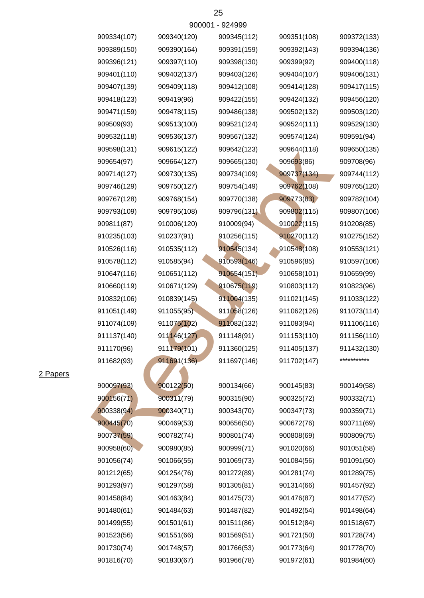| 909334(107) | 909340(120) | 909345(112) | 909351(108) | 909372(133) |
|-------------|-------------|-------------|-------------|-------------|
| 909389(150) | 909390(164) | 909391(159) | 909392(143) | 909394(136) |
| 909396(121) | 909397(110) | 909398(130) | 909399(92)  | 909400(118) |
| 909401(110) | 909402(137) | 909403(126) | 909404(107) | 909406(131) |
| 909407(139) | 909409(118) | 909412(108) | 909414(128) | 909417(115) |
| 909418(123) | 909419(96)  | 909422(155) | 909424(132) | 909456(120) |
| 909471(159) | 909478(115) | 909486(138) | 909502(132) | 909503(120) |
| 909509(93)  | 909513(100) | 909521(124) | 909524(111) | 909529(130) |
| 909532(118) | 909536(137) | 909567(132) | 909574(124) | 909591(94)  |
| 909598(131) | 909615(122) | 909642(123) | 909644(118) | 909650(135) |
| 909654(97)  | 909664(127) | 909665(130) | 909693(86)  | 909708(96)  |
| 909714(127) | 909730(135) | 909734(109) | 909737(134) | 909744(112) |
| 909746(129) | 909750(127) | 909754(149) | 909762(108) | 909765(120) |
| 909767(128) | 909768(154) | 909770(138) | 909773(83)  | 909782(104) |
| 909793(109) | 909795(108) | 909796(131) | 909802(115) | 909807(106) |
| 909811(87)  | 910006(120) | 910009(94)  | 910022(115) | 910208(85)  |
| 910235(103) | 910237(91)  | 910256(115) | 910270(112) | 910275(152) |
| 910526(116) | 910535(112) | 910545(134) | 910548(108) | 910553(121) |
| 910578(112) | 910585(94)  | 910593(146) | 910596(85)  | 910597(106) |
| 910647(116) | 910651(112) | 910654(151) | 910658(101) | 910659(99)  |
| 910660(119) | 910671(129) | 910675(119) | 910803(112) | 910823(96)  |
| 910832(106) | 910839(145) | 911004(135) | 911021(145) | 911033(122) |
| 911051(149) | 911055(95)  | 911058(126) | 911062(126) | 911073(114) |
| 911074(109) | 911075(102) | 911082(132) | 911083(94)  | 911106(116) |
| 911137(140) | 911146(127) | 911148(91)  | 911153(110) | 911156(110) |
| 911170(96)  | 911179(101) | 911360(125) | 911405(137) | 911432(130) |
| 911682(93)  | 911691(136) | 911697(146) | 911702(147) | *********** |
|             |             |             |             |             |
| 900097(93)  | 900122(50)  | 900134(66)  | 900145(83)  | 900149(58)  |
| 900156(71)  | 900311(79)  | 900315(90)  | 900325(72)  | 900332(71)  |
| 900338(94)  | 900340(71)  | 900343(70)  | 900347(73)  | 900359(71)  |
| 900445(70)  | 900469(53)  | 900656(50)  | 900672(76)  | 900711(69)  |
| 900737(59)  | 900782(74)  | 900801(74)  | 900808(69)  | 900809(75)  |
| 900958(60)  | 900980(85)  | 900999(71)  | 901020(66)  | 901051(58)  |
| 901056(74)  | 901066(55)  | 901069(73)  | 901084(56)  | 901091(50)  |
| 901212(65)  | 901254(76)  | 901272(89)  | 901281(74)  | 901289(75)  |
| 901293(97)  | 901297(58)  | 901305(81)  | 901314(66)  | 901457(92)  |
| 901458(84)  | 901463(84)  | 901475(73)  | 901476(87)  | 901477(52)  |
| 901480(61)  | 901484(63)  | 901487(82)  | 901492(54)  | 901498(64)  |
| 901499(55)  | 901501(61)  | 901511(86)  | 901512(84)  | 901518(67)  |
| 901523(56)  | 901551(66)  | 901569(51)  | 901721(50)  | 901728(74)  |
| 901730(74)  | 901748(57)  | 901766(53)  | 901773(64)  | 901778(70)  |
| 901816(70)  | 901830(67)  | 901966(78)  | 901972(61)  | 901984(60)  |
|             |             |             |             |             |

## 2 Papers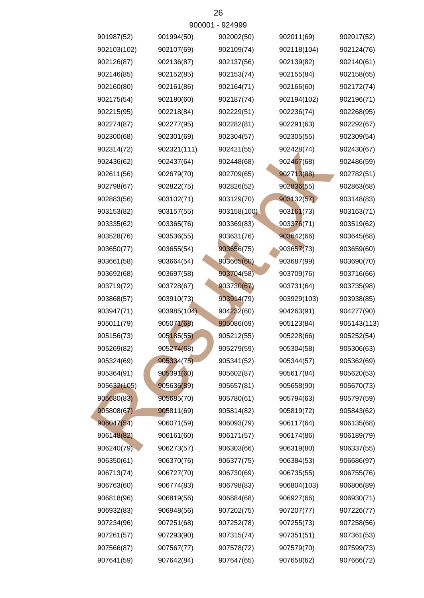| 901987(52)  | 901994(50)  | 902002(50)  | 902011(69)  | 902017(52)  |
|-------------|-------------|-------------|-------------|-------------|
| 902103(102) | 902107(69)  | 902109(74)  | 902118(104) | 902124(76)  |
| 902126(87)  | 902136(87)  | 902137(56)  | 902139(82)  | 902140(61)  |
| 902146(85)  | 902152(85)  | 902153(74)  | 902155(84)  | 902158(65)  |
| 902160(80)  | 902161(86)  | 902164(71)  | 902166(60)  | 902172(74)  |
| 902175(54)  | 902180(60)  | 902187(74)  | 902194(102) | 902196(71)  |
| 902215(95)  | 902218(84)  | 902229(51)  | 902236(74)  | 902268(95)  |
| 902274(87)  | 902277(95)  | 902282(81)  | 902291(63)  | 902292(67)  |
| 902300(68)  | 902301(69)  | 902304(57)  | 902305(55)  | 902309(54)  |
| 902314(72)  | 902321(111) | 902421(55)  | 902428(74)  | 902430(67)  |
| 902436(62)  | 902437(64)  | 902448(68)  | 902467(68)  | 902486(59)  |
| 902611(56)  | 902679(70)  | 902709(65)  | 902713(88)  | 902782(51)  |
| 902798(67)  | 902822(75)  | 902826(52)  | 902836(55)  | 902863(68)  |
| 902883(56)  | 903102(71)  | 903129(70)  | 903132(57)  | 903148(83)  |
| 903153(82)  | 903157(55)  | 903158(100) | 903161(73)  | 903163(71)  |
| 903335(62)  | 903365(76)  | 903369(83)  | 903376(71)  | 903519(62)  |
| 903528(76)  | 903536(55)  | 903631(76)  | 903642(66)  | 903645(68)  |
| 903650(77)  | 903655(54)  | 903656(75)  | 903657(73)  | 903659(60)  |
| 903661(58)  | 903664(54)  | 903665(60)  | 903687(99)  | 903690(70)  |
| 903692(68)  | 903697(58)  | 903704(58)  | 903709(76)  | 903716(66)  |
| 903719(72)  | 903728(67)  | 903730(67)  | 903731(64)  | 903735(98)  |
| 903868(57)  | 903910(73)  | 903914(79)  | 903929(103) | 903938(85)  |
| 903947(71)  | 903985(104) | 904232(60)  | 904263(91)  | 904277(90)  |
| 905011(79)  | 905071(68)  | 905086(69)  | 905123(84)  | 905143(113) |
| 905156(73)  | 905185(55)  | 905212(55)  | 905228(66)  | 905252(54)  |
| 905269(82)  | 905274(68)  | 905279(59)  | 905304(58)  | 905306(63)  |
| 905324(69)  | 905334(75)  | 905341(52)  | 905344(57)  | 905362(69)  |
| 905364(91)  | 905391(60)  | 905602(87)  | 905617(84)  | 905620(53)  |
| 905632(105) | 905636(89)  | 905657(81)  | 905658(90)  | 905670(73)  |
| 905680(83)  | 905685(70)  | 905780(61)  | 905794(63)  | 905797(59)  |
| 905808(67)  | 905811(69)  | 905814(82)  | 905819(72)  | 905843(62)  |
| 906047(54)  | 906071(59)  | 906093(79)  | 906117(64)  | 906135(68)  |
| 906148(82)  | 906161(60)  | 906171(57)  | 906174(86)  | 906189(79)  |
| 906240(79)  | 906273(57)  | 906303(66)  | 906319(80)  | 906337(55)  |
| 906350(61)  | 906370(76)  | 906377(75)  | 906384(53)  | 906686(97)  |
| 906713(74)  | 906727(70)  | 906730(69)  | 906735(55)  | 906755(76)  |
| 906763(60)  | 906774(83)  | 906798(83)  | 906804(103) | 906806(89)  |
| 906818(96)  | 906819(56)  | 906884(68)  | 906927(66)  | 906930(71)  |
| 906932(83)  | 906948(56)  | 907202(75)  | 907207(77)  | 907226(77)  |
| 907234(96)  | 907251(68)  | 907252(78)  | 907255(73)  | 907258(56)  |
| 907261(57)  | 907293(90)  | 907315(74)  | 907351(51)  | 907361(53)  |
| 907566(87)  | 907567(77)  | 907578(72)  | 907579(70)  | 907599(73)  |
| 907641(59)  | 907642(84)  | 907647(65)  | 907658(62)  | 907666(72)  |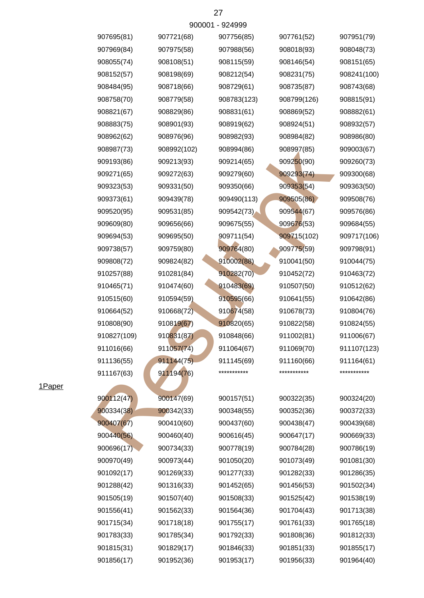|             |             | 900001 - 924999 |             |             |
|-------------|-------------|-----------------|-------------|-------------|
| 907695(81)  | 907721(68)  | 907756(85)      | 907761(52)  | 907951(79)  |
| 907969(84)  | 907975(58)  | 907988(56)      | 908018(93)  | 908048(73)  |
| 908055(74)  | 908108(51)  | 908115(59)      | 908146(54)  | 908151(65)  |
| 908152(57)  | 908198(69)  | 908212(54)      | 908231(75)  | 908241(100) |
| 908484(95)  | 908718(66)  | 908729(61)      | 908735(87)  | 908743(68)  |
| 908758(70)  | 908779(58)  | 908783(123)     | 908799(126) | 908815(91)  |
| 908821(67)  | 908829(86)  | 908831(61)      | 908869(52)  | 908882(61)  |
| 908883(75)  | 908901(93)  | 908919(62)      | 908924(51)  | 908932(57)  |
| 908962(62)  | 908976(96)  | 908982(93)      | 908984(82)  | 908986(80)  |
| 908987(73)  | 908992(102) | 908994(86)      | 908997(85)  | 909003(67)  |
| 909193(86)  | 909213(93)  | 909214(65)      | 909250(90)  | 909260(73)  |
| 909271(65)  | 909272(63)  | 909279(60)      | 909293(74)  | 909300(68)  |
| 909323(53)  | 909331(50)  | 909350(66)      | 909353(54)  | 909363(50)  |
| 909373(61)  | 909439(78)  | 909490(113)     | 909505(86)  | 909508(76)  |
| 909520(95)  | 909531(85)  | 909542(73)      | 909544(67)  | 909576(86)  |
| 909609(80)  | 909656(66)  | 909675(55)      | 909676(53)  | 909684(55)  |
| 909694(53)  | 909695(50)  | 909711(54)      | 909715(102) | 909717(106) |
| 909738(57)  | 909759(80)  | 909764(80)      | 909775(59)  | 909798(91)  |
| 909808(72)  | 909824(82)  | 910002(88)      | 910041(50)  | 910044(75)  |
| 910257(88)  | 910281(84)  | 910282(70)      | 910452(72)  | 910463(72)  |
| 910465(71)  | 910474(60)  | 910483(69)      | 910507(50)  | 910512(62)  |
| 910515(60)  | 910594(59)  | 910595(66)      | 910641(55)  | 910642(86)  |
| 910664(52)  | 910668(72)  | 910674(58)      | 910678(73)  | 910804(76)  |
| 910808(90)  | 910819(67)  | 910820(65)      | 910822(58)  | 910824(55)  |
| 910827(109) | 910831(87)  | 910848(66)      | 911002(81)  | 911006(67)  |
| 911016(66)  | 911057(74)  | 911064(67)      | 911069(70)  | 911107(123) |
| 911136(55)  | 911144(75)  | 911145(69)      | 911160(66)  | 911164(61)  |
| 911167(63)  | 911194(76)  | ***********     | *********** | *********** |
|             |             |                 |             |             |
| 900112(47)  | 900147(69)  | 900157(51)      | 900322(35)  | 900324(20)  |
| 900334(38)  | 900342(33)  | 900348(55)      | 900352(36)  | 900372(33)  |
| 900407(67)  | 900410(60)  | 900437(60)      | 900438(47)  | 900439(68)  |
| 900440(56)  | 900460(40)  | 900616(45)      | 900647(17)  | 900669(33)  |
| 900696(17)  | 900734(33)  | 900778(19)      | 900784(28)  | 900786(19)  |
| 900970(49)  | 900973(44)  | 901050(20)      | 901073(49)  | 901081(30)  |
| 901092(17)  | 901269(33)  | 901277(33)      | 901282(33)  | 901286(35)  |
| 901288(42)  | 901316(33)  | 901452(65)      | 901456(53)  | 901502(34)  |
| 901505(19)  | 901507(40)  | 901508(33)      | 901525(42)  | 901538(19)  |
| 901556(41)  | 901562(33)  | 901564(36)      | 901704(43)  | 901713(38)  |
| 901715(34)  | 901718(18)  | 901755(17)      | 901761(33)  | 901765(18)  |
| 901783(33)  | 901785(34)  | 901792(33)      | 901808(36)  | 901812(33)  |
| 901815(31)  | 901829(17)  | 901846(33)      | 901851(33)  | 901855(17)  |
| 901856(17)  | 901952(36)  | 901953(17)      | 901956(33)  | 901964(40)  |

1Paper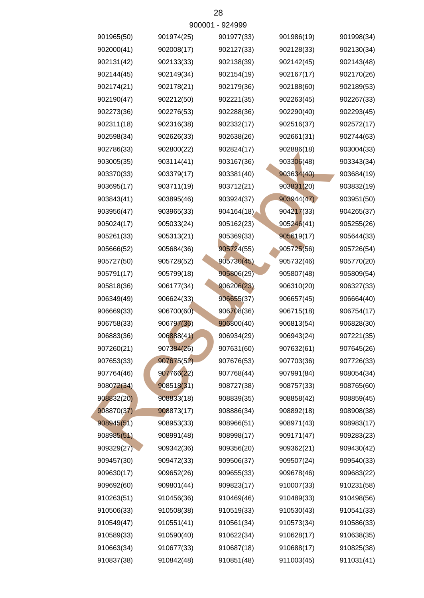|            |            | ลดดดก - ลริสลลล |            |            |
|------------|------------|-----------------|------------|------------|
| 901965(50) | 901974(25) | 901977(33)      | 901986(19) | 901998(34) |
| 902000(41) | 902008(17) | 902127(33)      | 902128(33) | 902130(34) |
| 902131(42) | 902133(33) | 902138(39)      | 902142(45) | 902143(48) |
| 902144(45) | 902149(34) | 902154(19)      | 902167(17) | 902170(26) |
| 902174(21) | 902178(21) | 902179(36)      | 902188(60) | 902189(53) |
| 902190(47) | 902212(50) | 902221(35)      | 902263(45) | 902267(33) |
| 902273(36) | 902276(53) | 902288(36)      | 902290(40) | 902293(45) |
| 902311(18) | 902316(38) | 902332(17)      | 902516(37) | 902572(17) |
| 902598(34) | 902626(33) | 902638(26)      | 902661(31) | 902744(63) |
| 902786(33) | 902800(22) | 902824(17)      | 902886(18) | 903004(33) |
| 903005(35) | 903114(41) | 903167(36)      | 903306(48) | 903343(34) |
| 903370(33) | 903379(17) | 903381(40)      | 903634(40) | 903684(19) |
| 903695(17) | 903711(19) | 903712(21)      | 903831(20) | 903832(19) |
| 903843(41) | 903895(46) | 903924(37)      | 903944(47) | 903951(50) |
| 903956(47) | 903965(33) | 904164(18)      | 904217(33) | 904265(37) |
| 905024(17) | 905033(24) | 905162(23)      | 905246(41) | 905255(26) |
| 905261(33) | 905313(21) | 905369(33)      | 905619(17) | 905644(33) |
| 905666(52) | 905684(36) | 905724(55)      | 905725(56) | 905726(54) |
| 905727(50) | 905728(52) | 905730(45)      | 905732(46) | 905770(20) |
| 905791(17) | 905799(18) | 905806(29)      | 905807(48) | 905809(54) |
| 905818(36) | 906177(34) | 906206(23)      | 906310(20) | 906327(33) |
| 906349(49) | 906624(33) | 906655(37)      | 906657(45) | 906664(40) |
| 906669(33) | 906700(60) | 906708(36)      | 906715(18) | 906754(17) |
| 906758(33) | 906797(36) | 906800(40)      | 906813(54) | 906828(30) |
| 906883(36) | 906888(41) | 906934(29)      | 906943(24) | 907221(35) |
| 907260(21) | 907384(26) | 907631(60)      | 907632(61) | 907645(26) |
| 907653(33) | 907675(52) | 907676(53)      | 907703(36) | 907726(33) |
| 907764(46) | 907766(22) | 907768(44)      | 907991(84) | 908054(34) |
| 908072(34) | 908518(31) | 908727(38)      | 908757(33) | 908765(60) |
| 908832(20) | 908833(18) | 908839(35)      | 908858(42) | 908859(45) |
| 908870(37) | 908873(17) | 908886(34)      | 908892(18) | 908908(38) |
| 908945(51) | 908953(33) | 908966(51)      | 908971(43) | 908983(17) |
| 908985(51) | 908991(48) | 908998(17)      | 909171(47) | 909283(23) |
| 909329(27) | 909342(36) | 909356(20)      | 909362(21) | 909430(42) |
| 909457(30) | 909472(33) | 909506(37)      | 909507(24) | 909540(33) |
| 909630(17) | 909652(26) | 909655(33)      | 909678(46) | 909683(22) |
| 909692(60) | 909801(44) | 909823(17)      | 910007(33) | 910231(58) |
| 910263(51) | 910456(36) | 910469(46)      | 910489(33) | 910498(56) |
| 910506(33) | 910508(38) | 910519(33)      | 910530(43) | 910541(33) |
| 910549(47) | 910551(41) | 910561(34)      | 910573(34) | 910586(33) |
| 910589(33) | 910590(40) | 910622(34)      | 910628(17) | 910638(35) |
| 910663(34) | 910677(33) | 910687(18)      | 910688(17) | 910825(38) |
| 910837(38) | 910842(48) | 910851(48)      | 911003(45) | 911031(41) |